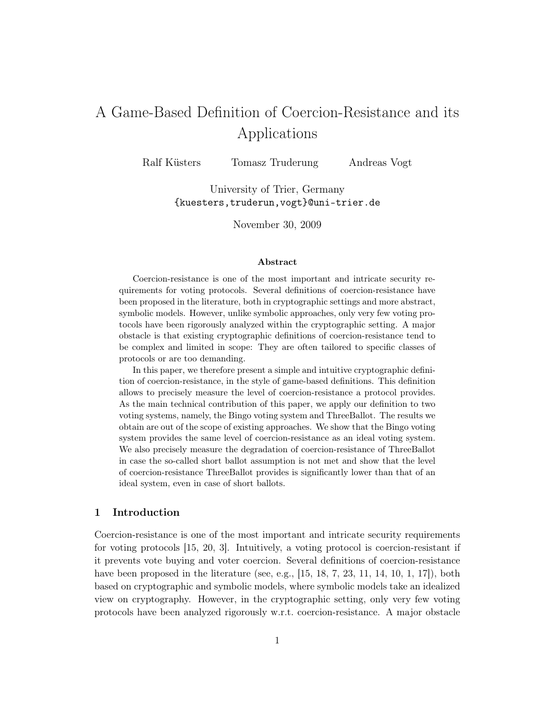# A Game-Based Definition of Coercion-Resistance and its Applications

Ralf Küsters Tomasz Truderung Andreas Vogt

University of Trier, Germany {kuesters,truderun,vogt}@uni-trier.de

November 30, 2009

#### Abstract

Coercion-resistance is one of the most important and intricate security requirements for voting protocols. Several definitions of coercion-resistance have been proposed in the literature, both in cryptographic settings and more abstract, symbolic models. However, unlike symbolic approaches, only very few voting protocols have been rigorously analyzed within the cryptographic setting. A major obstacle is that existing cryptographic definitions of coercion-resistance tend to be complex and limited in scope: They are often tailored to specific classes of protocols or are too demanding.

In this paper, we therefore present a simple and intuitive cryptographic definition of coercion-resistance, in the style of game-based definitions. This definition allows to precisely measure the level of coercion-resistance a protocol provides. As the main technical contribution of this paper, we apply our definition to two voting systems, namely, the Bingo voting system and ThreeBallot. The results we obtain are out of the scope of existing approaches. We show that the Bingo voting system provides the same level of coercion-resistance as an ideal voting system. We also precisely measure the degradation of coercion-resistance of ThreeBallot in case the so-called short ballot assumption is not met and show that the level of coercion-resistance ThreeBallot provides is significantly lower than that of an ideal system, even in case of short ballots.

# 1 Introduction

Coercion-resistance is one of the most important and intricate security requirements for voting protocols [15, 20, 3]. Intuitively, a voting protocol is coercion-resistant if it prevents vote buying and voter coercion. Several definitions of coercion-resistance have been proposed in the literature (see, e.g.,  $[15, 18, 7, 23, 11, 14, 10, 1, 17]$ ), both based on cryptographic and symbolic models, where symbolic models take an idealized view on cryptography. However, in the cryptographic setting, only very few voting protocols have been analyzed rigorously w.r.t. coercion-resistance. A major obstacle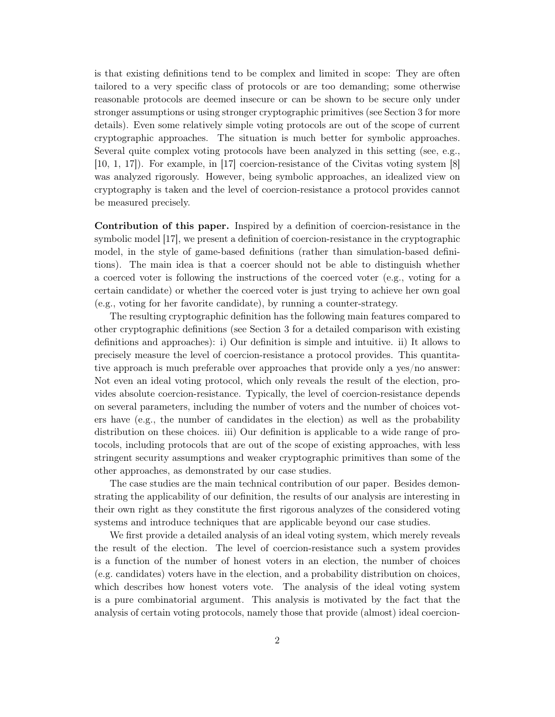is that existing definitions tend to be complex and limited in scope: They are often tailored to a very specific class of protocols or are too demanding; some otherwise reasonable protocols are deemed insecure or can be shown to be secure only under stronger assumptions or using stronger cryptographic primitives (see Section 3 for more details). Even some relatively simple voting protocols are out of the scope of current cryptographic approaches. The situation is much better for symbolic approaches. Several quite complex voting protocols have been analyzed in this setting (see, e.g., [10, 1, 17]). For example, in [17] coercion-resistance of the Civitas voting system [8] was analyzed rigorously. However, being symbolic approaches, an idealized view on cryptography is taken and the level of coercion-resistance a protocol provides cannot be measured precisely.

Contribution of this paper. Inspired by a definition of coercion-resistance in the symbolic model [17], we present a definition of coercion-resistance in the cryptographic model, in the style of game-based definitions (rather than simulation-based definitions). The main idea is that a coercer should not be able to distinguish whether a coerced voter is following the instructions of the coerced voter (e.g., voting for a certain candidate) or whether the coerced voter is just trying to achieve her own goal (e.g., voting for her favorite candidate), by running a counter-strategy.

The resulting cryptographic definition has the following main features compared to other cryptographic definitions (see Section 3 for a detailed comparison with existing definitions and approaches): i) Our definition is simple and intuitive. ii) It allows to precisely measure the level of coercion-resistance a protocol provides. This quantitative approach is much preferable over approaches that provide only a yes/no answer: Not even an ideal voting protocol, which only reveals the result of the election, provides absolute coercion-resistance. Typically, the level of coercion-resistance depends on several parameters, including the number of voters and the number of choices voters have (e.g., the number of candidates in the election) as well as the probability distribution on these choices. iii) Our definition is applicable to a wide range of protocols, including protocols that are out of the scope of existing approaches, with less stringent security assumptions and weaker cryptographic primitives than some of the other approaches, as demonstrated by our case studies.

The case studies are the main technical contribution of our paper. Besides demonstrating the applicability of our definition, the results of our analysis are interesting in their own right as they constitute the first rigorous analyzes of the considered voting systems and introduce techniques that are applicable beyond our case studies.

We first provide a detailed analysis of an ideal voting system, which merely reveals the result of the election. The level of coercion-resistance such a system provides is a function of the number of honest voters in an election, the number of choices (e.g. candidates) voters have in the election, and a probability distribution on choices, which describes how honest voters vote. The analysis of the ideal voting system is a pure combinatorial argument. This analysis is motivated by the fact that the analysis of certain voting protocols, namely those that provide (almost) ideal coercion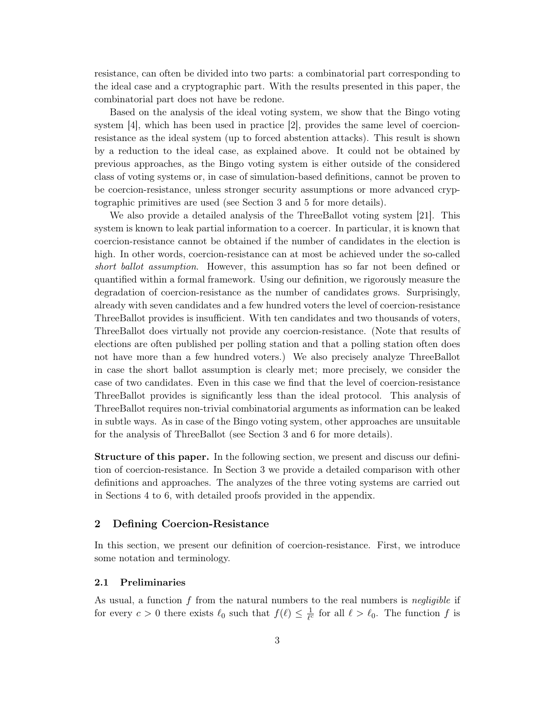resistance, can often be divided into two parts: a combinatorial part corresponding to the ideal case and a cryptographic part. With the results presented in this paper, the combinatorial part does not have be redone.

Based on the analysis of the ideal voting system, we show that the Bingo voting system [4], which has been used in practice [2], provides the same level of coercionresistance as the ideal system (up to forced abstention attacks). This result is shown by a reduction to the ideal case, as explained above. It could not be obtained by previous approaches, as the Bingo voting system is either outside of the considered class of voting systems or, in case of simulation-based definitions, cannot be proven to be coercion-resistance, unless stronger security assumptions or more advanced cryptographic primitives are used (see Section 3 and 5 for more details).

We also provide a detailed analysis of the ThreeBallot voting system [21]. This system is known to leak partial information to a coercer. In particular, it is known that coercion-resistance cannot be obtained if the number of candidates in the election is high. In other words, coercion-resistance can at most be achieved under the so-called short ballot assumption. However, this assumption has so far not been defined or quantified within a formal framework. Using our definition, we rigorously measure the degradation of coercion-resistance as the number of candidates grows. Surprisingly, already with seven candidates and a few hundred voters the level of coercion-resistance ThreeBallot provides is insufficient. With ten candidates and two thousands of voters, ThreeBallot does virtually not provide any coercion-resistance. (Note that results of elections are often published per polling station and that a polling station often does not have more than a few hundred voters.) We also precisely analyze ThreeBallot in case the short ballot assumption is clearly met; more precisely, we consider the case of two candidates. Even in this case we find that the level of coercion-resistance ThreeBallot provides is significantly less than the ideal protocol. This analysis of ThreeBallot requires non-trivial combinatorial arguments as information can be leaked in subtle ways. As in case of the Bingo voting system, other approaches are unsuitable for the analysis of ThreeBallot (see Section 3 and 6 for more details).

Structure of this paper. In the following section, we present and discuss our definition of coercion-resistance. In Section 3 we provide a detailed comparison with other definitions and approaches. The analyzes of the three voting systems are carried out in Sections 4 to 6, with detailed proofs provided in the appendix.

## 2 Defining Coercion-Resistance

In this section, we present our definition of coercion-resistance. First, we introduce some notation and terminology.

### 2.1 Preliminaries

As usual, a function  $f$  from the natural numbers to the real numbers is negligible if for every  $c > 0$  there exists  $\ell_0$  such that  $f(\ell) \leq \frac{1}{\ell^c}$  $\frac{1}{\ell^c}$  for all  $\ell > \ell_0$ . The function f is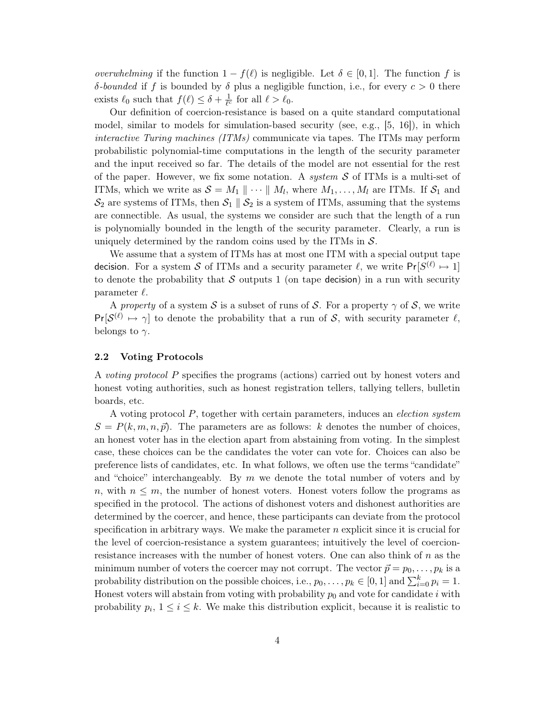*overwhelming* if the function  $1 - f(\ell)$  is negligible. Let  $\delta \in [0, 1]$ . The function f is δ-bounded if f is bounded by δ plus a negligible function, i.e., for every  $c > 0$  there exists  $\ell_0$  such that  $f(\ell) \leq \delta + \frac{1}{\ell^c}$  $\frac{1}{\ell^c}$  for all  $\ell > \ell_0$ .

Our definition of coercion-resistance is based on a quite standard computational model, similar to models for simulation-based security (see, e.g., [5, 16]), in which interactive Turing machines (ITMs) communicate via tapes. The ITMs may perform probabilistic polynomial-time computations in the length of the security parameter and the input received so far. The details of the model are not essential for the rest of the paper. However, we fix some notation. A *system*  $S$  of ITMs is a multi-set of ITMs, which we write as  $S = M_1 \parallel \cdots \parallel M_l$ , where  $M_1, \ldots, M_l$  are ITMs. If  $S_1$  and  $\mathcal{S}_2$  are systems of ITMs, then  $\mathcal{S}_1 \parallel \mathcal{S}_2$  is a system of ITMs, assuming that the systems are connectible. As usual, the systems we consider are such that the length of a run is polynomially bounded in the length of the security parameter. Clearly, a run is uniquely determined by the random coins used by the ITMs in  $\mathcal{S}$ .

We assume that a system of ITMs has at most one ITM with a special output tape decision. For a system S of ITMs and a security parameter  $\ell$ , we write  $Pr[S^{(\ell)} \mapsto 1]$ to denote the probability that S outputs 1 (on tape decision) in a run with security parameter  $\ell$ .

A property of a system S is a subset of runs of S. For a property  $\gamma$  of S, we write  $Pr[\mathcal{S}^{(\ell)} \mapsto \gamma]$  to denote the probability that a run of S, with security parameter  $\ell$ , belongs to  $\gamma$ .

## 2.2 Voting Protocols

A voting protocol P specifies the programs (actions) carried out by honest voters and honest voting authorities, such as honest registration tellers, tallying tellers, bulletin boards, etc.

A voting protocol P, together with certain parameters, induces an election system  $S = P(k, m, n, \vec{p})$ . The parameters are as follows: k denotes the number of choices, an honest voter has in the election apart from abstaining from voting. In the simplest case, these choices can be the candidates the voter can vote for. Choices can also be preference lists of candidates, etc. In what follows, we often use the terms "candidate" and "choice" interchangeably. By  $m$  we denote the total number of voters and by n, with  $n \leq m$ , the number of honest voters. Honest voters follow the programs as specified in the protocol. The actions of dishonest voters and dishonest authorities are determined by the coercer, and hence, these participants can deviate from the protocol specification in arbitrary ways. We make the parameter  $n$  explicit since it is crucial for the level of coercion-resistance a system guarantees; intuitively the level of coercionresistance increases with the number of honest voters. One can also think of  $n$  as the minimum number of voters the coercer may not corrupt. The vector  $\vec{p} = p_0, \ldots, p_k$  is a probability distribution on the possible choices, i.e.,  $p_0, \ldots, p_k \in [0, 1]$  and  $\sum_{i=0}^k p_i = 1$ . Honest voters will abstain from voting with probability  $p_0$  and vote for candidate i with probability  $p_i$ ,  $1 \leq i \leq k$ . We make this distribution explicit, because it is realistic to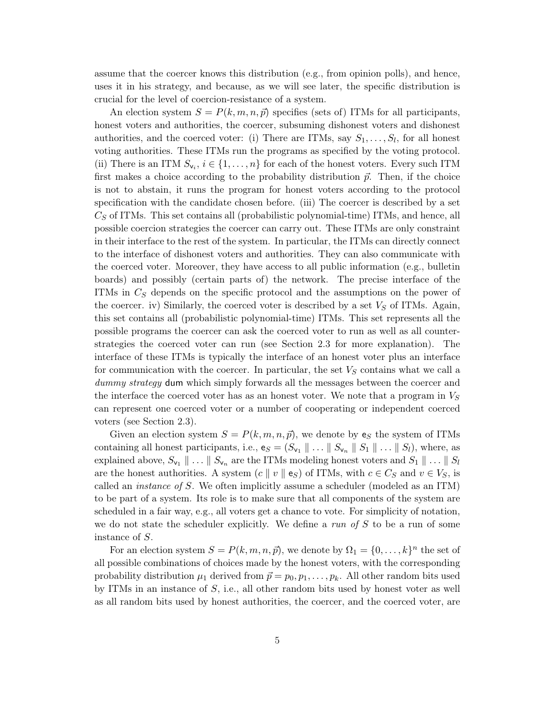assume that the coercer knows this distribution (e.g., from opinion polls), and hence, uses it in his strategy, and because, as we will see later, the specific distribution is crucial for the level of coercion-resistance of a system.

An election system  $S = P(k, m, n, \vec{p})$  specifies (sets of) ITMs for all participants, honest voters and authorities, the coercer, subsuming dishonest voters and dishonest authorities, and the coerced voter: (i) There are ITMs, say  $S_1, \ldots, S_l$ , for all honest voting authorities. These ITMs run the programs as specified by the voting protocol. (ii) There is an ITM  $S_{\mathsf{v}_i}$ ,  $i \in \{1, \ldots, n\}$  for each of the honest voters. Every such ITM first makes a choice according to the probability distribution  $\vec{p}$ . Then, if the choice is not to abstain, it runs the program for honest voters according to the protocol specification with the candidate chosen before. (iii) The coercer is described by a set  $C_S$  of ITMs. This set contains all (probabilistic polynomial-time) ITMs, and hence, all possible coercion strategies the coercer can carry out. These ITMs are only constraint in their interface to the rest of the system. In particular, the ITMs can directly connect to the interface of dishonest voters and authorities. They can also communicate with the coerced voter. Moreover, they have access to all public information (e.g., bulletin boards) and possibly (certain parts of) the network. The precise interface of the ITMs in  $C_S$  depends on the specific protocol and the assumptions on the power of the coercer. iv) Similarly, the coerced voter is described by a set  $V<sub>S</sub>$  of ITMs. Again, this set contains all (probabilistic polynomial-time) ITMs. This set represents all the possible programs the coercer can ask the coerced voter to run as well as all counterstrategies the coerced voter can run (see Section 2.3 for more explanation). The interface of these ITMs is typically the interface of an honest voter plus an interface for communication with the coercer. In particular, the set  $V<sub>S</sub>$  contains what we call a dummy strategy dum which simply forwards all the messages between the coercer and the interface the coerced voter has as an honest voter. We note that a program in  $V_S$ can represent one coerced voter or a number of cooperating or independent coerced voters (see Section 2.3).

Given an election system  $S = P(k, m, n, \vec{p})$ , we denote by  $e_S$  the system of ITMs containing all honest participants, i.e.,  $e_S = (S_{v_1} \parallel \dots \parallel S_{v_n} \parallel S_1 \parallel \dots \parallel S_l)$ , where, as explained above,  $S_{\mathsf{v}_1} \parallel \ldots \parallel S_{\mathsf{v}_n}$  are the ITMs modeling honest voters and  $S_1 \parallel \ldots \parallel S_l$ are the honest authorities. A system  $(c || v || e_S)$  of ITMs, with  $c \in C_S$  and  $v \in V_S$ , is called an instance of S. We often implicitly assume a scheduler (modeled as an ITM) to be part of a system. Its role is to make sure that all components of the system are scheduled in a fair way, e.g., all voters get a chance to vote. For simplicity of notation, we do not state the scheduler explicitly. We define a run of S to be a run of some instance of S.

For an election system  $S = P(k, m, n, \vec{p})$ , we denote by  $\Omega_1 = \{0, \ldots, k\}^n$  the set of all possible combinations of choices made by the honest voters, with the corresponding probability distribution  $\mu_1$  derived from  $\vec{p} = p_0, p_1, \ldots, p_k$ . All other random bits used by ITMs in an instance of S, i.e., all other random bits used by honest voter as well as all random bits used by honest authorities, the coercer, and the coerced voter, are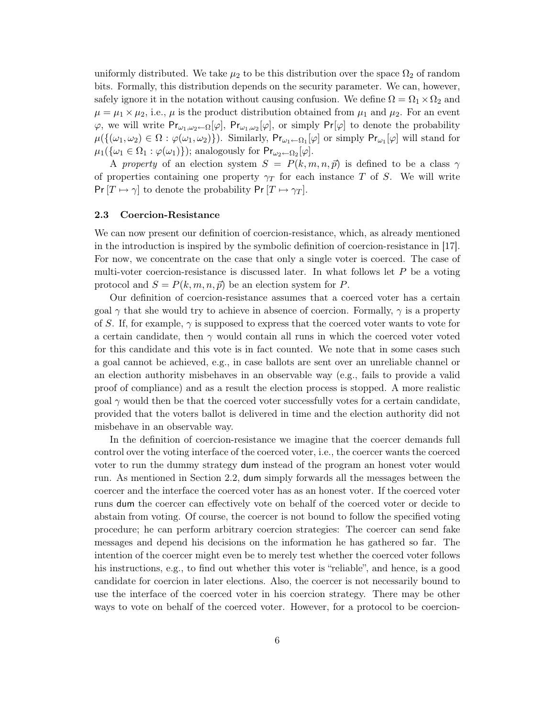uniformly distributed. We take  $\mu_2$  to be this distribution over the space  $\Omega_2$  of random bits. Formally, this distribution depends on the security parameter. We can, however, safely ignore it in the notation without causing confusion. We define  $\Omega = \Omega_1 \times \Omega_2$  and  $\mu = \mu_1 \times \mu_2$ , i.e.,  $\mu$  is the product distribution obtained from  $\mu_1$  and  $\mu_2$ . For an event  $\varphi$ , we will write  $Pr_{\omega_1,\omega_2\in\Omega}[\varphi]$ ,  $Pr_{\omega_1,\omega_2}[\varphi]$ , or simply  $Pr[\varphi]$  to denote the probability  $\mu(\{(\omega_1,\omega_2)\in\Omega:\varphi(\omega_1,\omega_2)\})$ . Similarly,  $Pr_{\omega_1\leftarrow\Omega_1}[\varphi]$  or simply  $Pr_{\omega_1}[\varphi]$  will stand for  $\mu_1(\{\omega_1 \in \Omega_1 : \varphi(\omega_1)\});$  analogously for  $Pr_{\omega_2 \leftarrow \Omega_2}[\varphi]$ .

A property of an election system  $S = P(k, m, n, \vec{p})$  is defined to be a class  $\gamma$ of properties containing one property  $\gamma_T$  for each instance T of S. We will write Pr  $[T \mapsto \gamma]$  to denote the probability Pr  $[T \mapsto \gamma_T]$ .

#### 2.3 Coercion-Resistance

We can now present our definition of coercion-resistance, which, as already mentioned in the introduction is inspired by the symbolic definition of coercion-resistance in [17]. For now, we concentrate on the case that only a single voter is coerced. The case of multi-voter coercion-resistance is discussed later. In what follows let  $P$  be a voting protocol and  $S = P(k, m, n, \vec{p})$  be an election system for P.

Our definition of coercion-resistance assumes that a coerced voter has a certain goal  $\gamma$  that she would try to achieve in absence of coercion. Formally,  $\gamma$  is a property of S. If, for example,  $\gamma$  is supposed to express that the coerced voter wants to vote for a certain candidate, then  $\gamma$  would contain all runs in which the coerced voter voted for this candidate and this vote is in fact counted. We note that in some cases such a goal cannot be achieved, e.g., in case ballots are sent over an unreliable channel or an election authority misbehaves in an observable way (e.g., fails to provide a valid proof of compliance) and as a result the election process is stopped. A more realistic goal  $\gamma$  would then be that the coerced voter successfully votes for a certain candidate, provided that the voters ballot is delivered in time and the election authority did not misbehave in an observable way.

In the definition of coercion-resistance we imagine that the coercer demands full control over the voting interface of the coerced voter, i.e., the coercer wants the coerced voter to run the dummy strategy dum instead of the program an honest voter would run. As mentioned in Section 2.2, dum simply forwards all the messages between the coercer and the interface the coerced voter has as an honest voter. If the coerced voter runs dum the coercer can effectively vote on behalf of the coerced voter or decide to abstain from voting. Of course, the coercer is not bound to follow the specified voting procedure; he can perform arbitrary coercion strategies: The coercer can send fake messages and depend his decisions on the information he has gathered so far. The intention of the coercer might even be to merely test whether the coerced voter follows his instructions, e.g., to find out whether this voter is "reliable", and hence, is a good candidate for coercion in later elections. Also, the coercer is not necessarily bound to use the interface of the coerced voter in his coercion strategy. There may be other ways to vote on behalf of the coerced voter. However, for a protocol to be coercion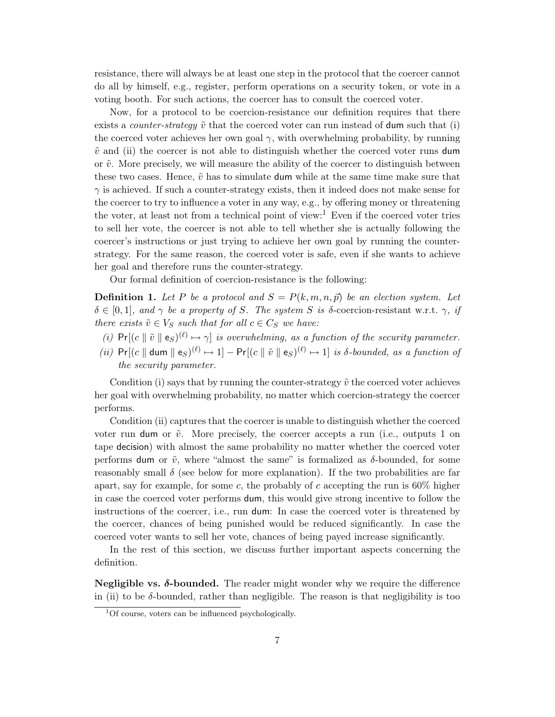resistance, there will always be at least one step in the protocol that the coercer cannot do all by himself, e.g., register, perform operations on a security token, or vote in a voting booth. For such actions, the coercer has to consult the coerced voter.

Now, for a protocol to be coercion-resistance our definition requires that there exists a *counter-strategy*  $\tilde{v}$  that the coerced voter can run instead of **dum** such that (i) the coerced voter achieves her own goal  $\gamma$ , with overwhelming probability, by running  $\tilde{v}$  and (ii) the coercer is not able to distinguish whether the coerced voter runs dum or  $\tilde{v}$ . More precisely, we will measure the ability of the coercer to distinguish between these two cases. Hence,  $\tilde{v}$  has to simulate dum while at the same time make sure that  $\gamma$  is achieved. If such a counter-strategy exists, then it indeed does not make sense for the coercer to try to influence a voter in any way, e.g., by offering money or threatening the voter, at least not from a technical point of view:<sup>1</sup> Even if the coerced voter tries to sell her vote, the coercer is not able to tell whether she is actually following the coercer's instructions or just trying to achieve her own goal by running the counterstrategy. For the same reason, the coerced voter is safe, even if she wants to achieve her goal and therefore runs the counter-strategy.

Our formal definition of coercion-resistance is the following:

**Definition 1.** Let P be a protocol and  $S = P(k, m, n, \vec{p})$  be an election system. Let  $\delta \in [0,1],$  and  $\gamma$  be a property of S. The system S is δ-coercion-resistant w.r.t.  $\gamma$ , if there exists  $\tilde{v} \in V_S$  such that for all  $c \in C_S$  we have:

- (i)  $Pr[(c \mid \tilde{v} \mid \mathbf{e}_S)^{(\ell)} \mapsto \gamma]$  is overwhelming, as a function of the security parameter.
- (ii)  $Pr[(c \parallel \text{dum} \parallel \text{e}_S)^{(\ell)} \mapsto 1] Pr[(c \parallel \tilde{v} \parallel \text{e}_S)^{(\ell)} \mapsto 1]$  is  $\delta$ -bounded, as a function of the security parameter.

Condition (i) says that by running the counter-strategy  $\tilde{v}$  the coerced voter achieves her goal with overwhelming probability, no matter which coercion-strategy the coercer performs.

Condition (ii) captures that the coercer is unable to distinguish whether the coerced voter run dum or  $\tilde{v}$ . More precisely, the coercer accepts a run (i.e., outputs 1 on tape decision) with almost the same probability no matter whether the coerced voter performs dum or  $\tilde{v}$ , where "almost the same" is formalized as  $\delta$ -bounded, for some reasonably small  $\delta$  (see below for more explanation). If the two probabilities are far apart, say for example, for some c, the probably of c accepting the run is  $60\%$  higher in case the coerced voter performs dum, this would give strong incentive to follow the instructions of the coercer, i.e., run dum: In case the coerced voter is threatened by the coercer, chances of being punished would be reduced significantly. In case the coerced voter wants to sell her vote, chances of being payed increase significantly.

In the rest of this section, we discuss further important aspects concerning the definition.

**Negligible vs.**  $\delta$ **-bounded.** The reader might wonder why we require the difference in (ii) to be  $\delta$ -bounded, rather than negligible. The reason is that negligibility is too

<sup>&</sup>lt;sup>1</sup>Of course, voters can be influenced psychologically.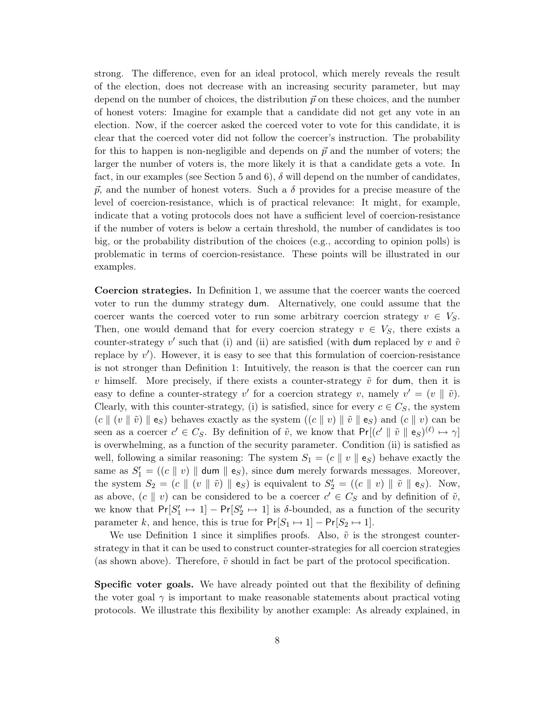strong. The difference, even for an ideal protocol, which merely reveals the result of the election, does not decrease with an increasing security parameter, but may depend on the number of choices, the distribution  $\vec{p}$  on these choices, and the number of honest voters: Imagine for example that a candidate did not get any vote in an election. Now, if the coercer asked the coerced voter to vote for this candidate, it is clear that the coerced voter did not follow the coercer's instruction. The probability for this to happen is non-negligible and depends on  $\vec{p}$  and the number of voters; the larger the number of voters is, the more likely it is that a candidate gets a vote. In fact, in our examples (see Section 5 and 6),  $\delta$  will depend on the number of candidates,  $\vec{p}$ , and the number of honest voters. Such a  $\delta$  provides for a precise measure of the level of coercion-resistance, which is of practical relevance: It might, for example, indicate that a voting protocols does not have a sufficient level of coercion-resistance if the number of voters is below a certain threshold, the number of candidates is too big, or the probability distribution of the choices (e.g., according to opinion polls) is problematic in terms of coercion-resistance. These points will be illustrated in our examples.

Coercion strategies. In Definition 1, we assume that the coercer wants the coerced voter to run the dummy strategy dum. Alternatively, one could assume that the coercer wants the coerced voter to run some arbitrary coercion strategy  $v \in V_S$ . Then, one would demand that for every coercion strategy  $v \in V_S$ , there exists a counter-strategy v' such that (i) and (ii) are satisfied (with dum replaced by v and  $\tilde{v}$ replace by  $v'$ ). However, it is easy to see that this formulation of coercion-resistance is not stronger than Definition 1: Intuitively, the reason is that the coercer can run v himself. More precisely, if there exists a counter-strategy  $\tilde{v}$  for dum, then it is easy to define a counter-strategy v' for a coercion strategy v, namely  $v' = (v \parallel \tilde{v})$ . Clearly, with this counter-strategy, (i) is satisfied, since for every  $c \in C_S$ , the system  $(c \parallel (v \parallel \tilde{v}) \parallel \mathbf{e}_S)$  behaves exactly as the system  $((c \parallel v) \parallel \tilde{v} \parallel \mathbf{e}_S)$  and  $(c \parallel v)$  can be seen as a coercer  $c' \in C_S$ . By definition of  $\tilde{v}$ , we know that  $Pr[(c' \parallel \tilde{v} \parallel \mathbf{e}_S)^{(\ell)} \mapsto \gamma]$ is overwhelming, as a function of the security parameter. Condition (ii) is satisfied as well, following a similar reasoning: The system  $S_1 = (c \parallel v \parallel \mathbf{e}_S)$  behave exactly the same as  $S'_1 = ((c \parallel v) \parallel \text{dum} \parallel \text{e}_S)$ , since dum merely forwards messages. Moreover, the system  $S_2 = (c \parallel (v \parallel \tilde{v}) \parallel e_S)$  is equivalent to  $S_2' = ((c \parallel v) \parallel \tilde{v} \parallel e_S)$ . Now, as above,  $(c \parallel v)$  can be considered to be a coercer  $c' \in C_S$  and by definition of  $\tilde{v}$ , we know that  $Pr[S'_1 \mapsto 1] - Pr[S'_2 \mapsto 1]$  is  $\delta$ -bounded, as a function of the security parameter k, and hence, this is true for  $Pr[S_1 \mapsto 1] - Pr[S_2 \mapsto 1]$ .

We use Definition 1 since it simplifies proofs. Also,  $\tilde{v}$  is the strongest counterstrategy in that it can be used to construct counter-strategies for all coercion strategies (as shown above). Therefore,  $\tilde{v}$  should in fact be part of the protocol specification.

Specific voter goals. We have already pointed out that the flexibility of defining the voter goal  $\gamma$  is important to make reasonable statements about practical voting protocols. We illustrate this flexibility by another example: As already explained, in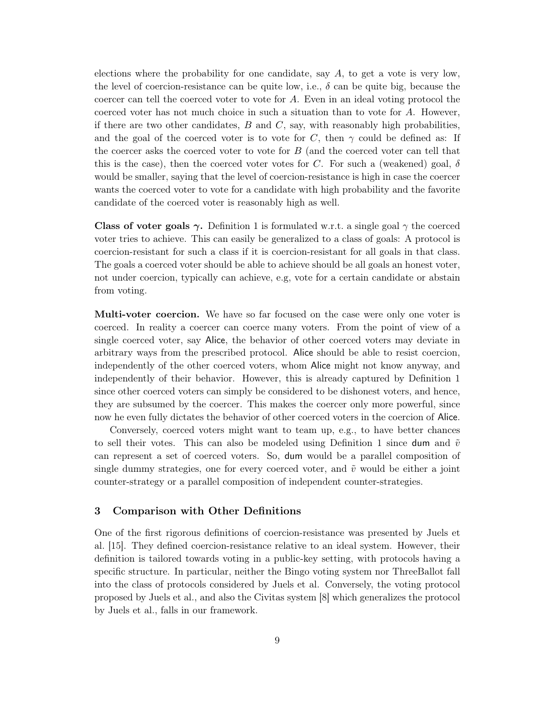elections where the probability for one candidate, say A, to get a vote is very low, the level of coercion-resistance can be quite low, i.e.,  $\delta$  can be quite big, because the coercer can tell the coerced voter to vote for A. Even in an ideal voting protocol the coerced voter has not much choice in such a situation than to vote for A. However, if there are two other candidates,  $B$  and  $C$ , say, with reasonably high probabilities, and the goal of the coerced voter is to vote for C, then  $\gamma$  could be defined as: If the coercer asks the coerced voter to vote for B (and the coerced voter can tell that this is the case), then the coerced voter votes for C. For such a (weakened) goal,  $\delta$ would be smaller, saying that the level of coercion-resistance is high in case the coercer wants the coerced voter to vote for a candidate with high probability and the favorite candidate of the coerced voter is reasonably high as well.

**Class of voter goals γ.** Definition 1 is formulated w.r.t. a single goal  $\gamma$  the coerced voter tries to achieve. This can easily be generalized to a class of goals: A protocol is coercion-resistant for such a class if it is coercion-resistant for all goals in that class. The goals a coerced voter should be able to achieve should be all goals an honest voter, not under coercion, typically can achieve, e.g, vote for a certain candidate or abstain from voting.

Multi-voter coercion. We have so far focused on the case were only one voter is coerced. In reality a coercer can coerce many voters. From the point of view of a single coerced voter, say Alice, the behavior of other coerced voters may deviate in arbitrary ways from the prescribed protocol. Alice should be able to resist coercion, independently of the other coerced voters, whom Alice might not know anyway, and independently of their behavior. However, this is already captured by Definition 1 since other coerced voters can simply be considered to be dishonest voters, and hence, they are subsumed by the coercer. This makes the coercer only more powerful, since now he even fully dictates the behavior of other coerced voters in the coercion of Alice.

Conversely, coerced voters might want to team up, e.g., to have better chances to sell their votes. This can also be modeled using Definition 1 since dum and  $\tilde{v}$ can represent a set of coerced voters. So, dum would be a parallel composition of single dummy strategies, one for every coerced voter, and  $\tilde{v}$  would be either a joint counter-strategy or a parallel composition of independent counter-strategies.

### 3 Comparison with Other Definitions

One of the first rigorous definitions of coercion-resistance was presented by Juels et al. [15]. They defined coercion-resistance relative to an ideal system. However, their definition is tailored towards voting in a public-key setting, with protocols having a specific structure. In particular, neither the Bingo voting system nor ThreeBallot fall into the class of protocols considered by Juels et al. Conversely, the voting protocol proposed by Juels et al., and also the Civitas system [8] which generalizes the protocol by Juels et al., falls in our framework.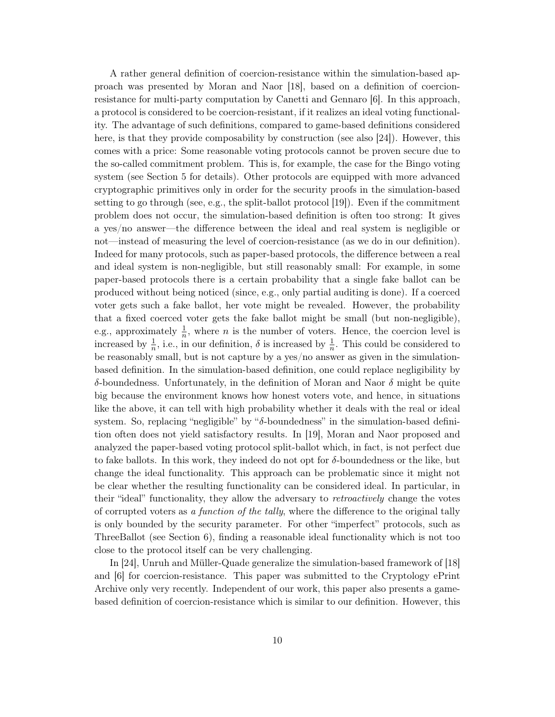A rather general definition of coercion-resistance within the simulation-based approach was presented by Moran and Naor [18], based on a definition of coercionresistance for multi-party computation by Canetti and Gennaro [6]. In this approach, a protocol is considered to be coercion-resistant, if it realizes an ideal voting functionality. The advantage of such definitions, compared to game-based definitions considered here, is that they provide composability by construction (see also [24]). However, this comes with a price: Some reasonable voting protocols cannot be proven secure due to the so-called commitment problem. This is, for example, the case for the Bingo voting system (see Section 5 for details). Other protocols are equipped with more advanced cryptographic primitives only in order for the security proofs in the simulation-based setting to go through (see, e.g., the split-ballot protocol [19]). Even if the commitment problem does not occur, the simulation-based definition is often too strong: It gives a yes/no answer—the difference between the ideal and real system is negligible or not—instead of measuring the level of coercion-resistance (as we do in our definition). Indeed for many protocols, such as paper-based protocols, the difference between a real and ideal system is non-negligible, but still reasonably small: For example, in some paper-based protocols there is a certain probability that a single fake ballot can be produced without being noticed (since, e.g., only partial auditing is done). If a coerced voter gets such a fake ballot, her vote might be revealed. However, the probability that a fixed coerced voter gets the fake ballot might be small (but non-negligible), e.g., approximately  $\frac{1}{n}$ , where *n* is the number of voters. Hence, the coercion level is increased by  $\frac{1}{n}$ , i.e., in our definition,  $\delta$  is increased by  $\frac{1}{n}$ . This could be considered to be reasonably small, but is not capture by a yes/no answer as given in the simulationbased definition. In the simulation-based definition, one could replace negligibility by δ-boundedness. Unfortunately, in the definition of Moran and Naor δ might be quite big because the environment knows how honest voters vote, and hence, in situations like the above, it can tell with high probability whether it deals with the real or ideal system. So, replacing "negligible" by "δ-boundedness" in the simulation-based definition often does not yield satisfactory results. In [19], Moran and Naor proposed and analyzed the paper-based voting protocol split-ballot which, in fact, is not perfect due to fake ballots. In this work, they indeed do not opt for  $\delta$ -boundedness or the like, but change the ideal functionality. This approach can be problematic since it might not be clear whether the resulting functionality can be considered ideal. In particular, in their "ideal" functionality, they allow the adversary to *retroactively* change the votes of corrupted voters as a function of the tally, where the difference to the original tally is only bounded by the security parameter. For other "imperfect" protocols, such as ThreeBallot (see Section 6), finding a reasonable ideal functionality which is not too close to the protocol itself can be very challenging.

In [24], Unruh and Müller-Quade generalize the simulation-based framework of [18] and [6] for coercion-resistance. This paper was submitted to the Cryptology ePrint Archive only very recently. Independent of our work, this paper also presents a gamebased definition of coercion-resistance which is similar to our definition. However, this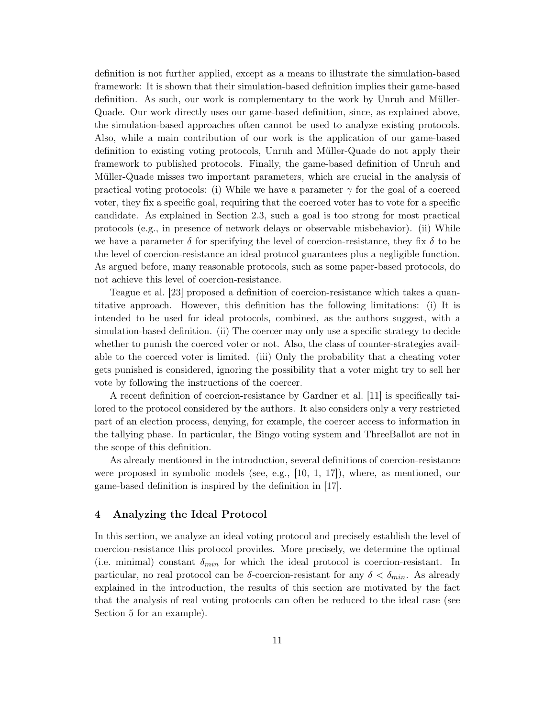definition is not further applied, except as a means to illustrate the simulation-based framework: It is shown that their simulation-based definition implies their game-based definition. As such, our work is complementary to the work by Unruh and Müller-Quade. Our work directly uses our game-based definition, since, as explained above, the simulation-based approaches often cannot be used to analyze existing protocols. Also, while a main contribution of our work is the application of our game-based definition to existing voting protocols, Unruh and Müller-Quade do not apply their framework to published protocols. Finally, the game-based definition of Unruh and Müller-Quade misses two important parameters, which are crucial in the analysis of practical voting protocols: (i) While we have a parameter  $\gamma$  for the goal of a coerced voter, they fix a specific goal, requiring that the coerced voter has to vote for a specific candidate. As explained in Section 2.3, such a goal is too strong for most practical protocols (e.g., in presence of network delays or observable misbehavior). (ii) While we have a parameter  $\delta$  for specifying the level of coercion-resistance, they fix  $\delta$  to be the level of coercion-resistance an ideal protocol guarantees plus a negligible function. As argued before, many reasonable protocols, such as some paper-based protocols, do not achieve this level of coercion-resistance.

Teague et al. [23] proposed a definition of coercion-resistance which takes a quantitative approach. However, this definition has the following limitations: (i) It is intended to be used for ideal protocols, combined, as the authors suggest, with a simulation-based definition. (ii) The coercer may only use a specific strategy to decide whether to punish the coerced voter or not. Also, the class of counter-strategies available to the coerced voter is limited. (iii) Only the probability that a cheating voter gets punished is considered, ignoring the possibility that a voter might try to sell her vote by following the instructions of the coercer.

A recent definition of coercion-resistance by Gardner et al. [11] is specifically tailored to the protocol considered by the authors. It also considers only a very restricted part of an election process, denying, for example, the coercer access to information in the tallying phase. In particular, the Bingo voting system and ThreeBallot are not in the scope of this definition.

As already mentioned in the introduction, several definitions of coercion-resistance were proposed in symbolic models (see, e.g.,  $[10, 1, 17]$ ), where, as mentioned, our game-based definition is inspired by the definition in [17].

## 4 Analyzing the Ideal Protocol

In this section, we analyze an ideal voting protocol and precisely establish the level of coercion-resistance this protocol provides. More precisely, we determine the optimal (i.e. minimal) constant  $\delta_{min}$  for which the ideal protocol is coercion-resistant. In particular, no real protocol can be  $\delta$ -coercion-resistant for any  $\delta < \delta_{min}$ . As already explained in the introduction, the results of this section are motivated by the fact that the analysis of real voting protocols can often be reduced to the ideal case (see Section 5 for an example).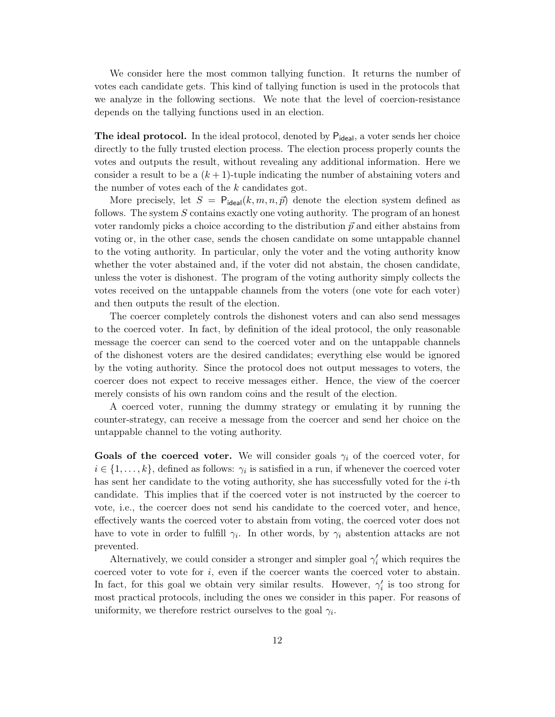We consider here the most common tallying function. It returns the number of votes each candidate gets. This kind of tallying function is used in the protocols that we analyze in the following sections. We note that the level of coercion-resistance depends on the tallying functions used in an election.

The ideal protocol. In the ideal protocol, denoted by P<sub>ideal</sub>, a voter sends her choice directly to the fully trusted election process. The election process properly counts the votes and outputs the result, without revealing any additional information. Here we consider a result to be a  $(k+1)$ -tuple indicating the number of abstaining voters and the number of votes each of the k candidates got.

More precisely, let  $S = P_{ideal}(k, m, n, \vec{p})$  denote the election system defined as follows. The system S contains exactly one voting authority. The program of an honest voter randomly picks a choice according to the distribution  $\vec{p}$  and either abstains from voting or, in the other case, sends the chosen candidate on some untappable channel to the voting authority. In particular, only the voter and the voting authority know whether the voter abstained and, if the voter did not abstain, the chosen candidate, unless the voter is dishonest. The program of the voting authority simply collects the votes received on the untappable channels from the voters (one vote for each voter) and then outputs the result of the election.

The coercer completely controls the dishonest voters and can also send messages to the coerced voter. In fact, by definition of the ideal protocol, the only reasonable message the coercer can send to the coerced voter and on the untappable channels of the dishonest voters are the desired candidates; everything else would be ignored by the voting authority. Since the protocol does not output messages to voters, the coercer does not expect to receive messages either. Hence, the view of the coercer merely consists of his own random coins and the result of the election.

A coerced voter, running the dummy strategy or emulating it by running the counter-strategy, can receive a message from the coercer and send her choice on the untappable channel to the voting authority.

**Goals of the coerced voter.** We will consider goals  $\gamma_i$  of the coerced voter, for  $i \in \{1, \ldots, k\}$ , defined as follows:  $\gamma_i$  is satisfied in a run, if whenever the coerced voter has sent her candidate to the voting authority, she has successfully voted for the  $i$ -th candidate. This implies that if the coerced voter is not instructed by the coercer to vote, i.e., the coercer does not send his candidate to the coerced voter, and hence, effectively wants the coerced voter to abstain from voting, the coerced voter does not have to vote in order to fulfill  $\gamma_i$ . In other words, by  $\gamma_i$  abstention attacks are not prevented.

Alternatively, we could consider a stronger and simpler goal  $\gamma'_i$  which requires the coerced voter to vote for i, even if the coercer wants the coerced voter to abstain. In fact, for this goal we obtain very similar results. However,  $\gamma_i'$  is too strong for most practical protocols, including the ones we consider in this paper. For reasons of uniformity, we therefore restrict ourselves to the goal  $\gamma_i$ .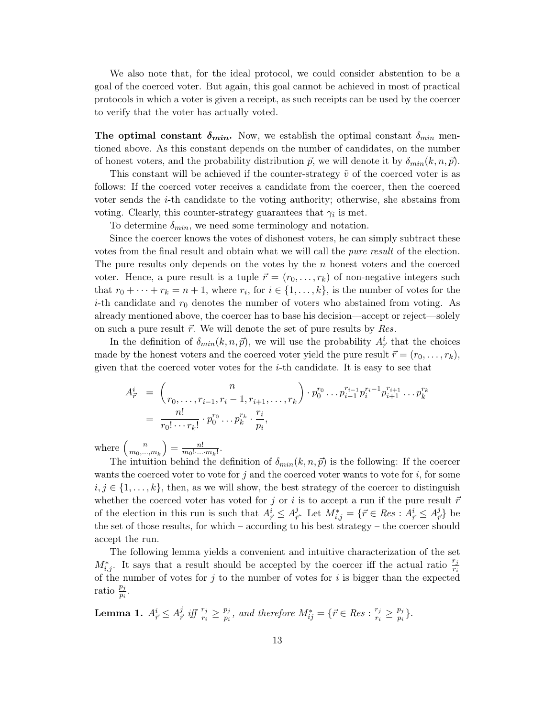We also note that, for the ideal protocol, we could consider abstention to be a goal of the coerced voter. But again, this goal cannot be achieved in most of practical protocols in which a voter is given a receipt, as such receipts can be used by the coercer to verify that the voter has actually voted.

The optimal constant  $\delta_{min}$ . Now, we establish the optimal constant  $\delta_{min}$  mentioned above. As this constant depends on the number of candidates, on the number of honest voters, and the probability distribution  $\vec{p}$ , we will denote it by  $\delta_{min}(k, n, \vec{p})$ .

This constant will be achieved if the counter-strategy  $\tilde{v}$  of the coerced voter is as follows: If the coerced voter receives a candidate from the coercer, then the coerced voter sends the i-th candidate to the voting authority; otherwise, she abstains from voting. Clearly, this counter-strategy guarantees that  $\gamma_i$  is met.

To determine  $\delta_{min}$ , we need some terminology and notation.

Since the coercer knows the votes of dishonest voters, he can simply subtract these votes from the final result and obtain what we will call the pure result of the election. The pure results only depends on the votes by the  $n$  honest voters and the coerced voter. Hence, a pure result is a tuple  $\vec{r} = (r_0, \ldots, r_k)$  of non-negative integers such that  $r_0 + \cdots + r_k = n + 1$ , where  $r_i$ , for  $i \in \{1, \ldots, k\}$ , is the number of votes for the *i*-th candidate and  $r_0$  denotes the number of voters who abstained from voting. As already mentioned above, the coercer has to base his decision—accept or reject—solely on such a pure result  $\vec{r}$ . We will denote the set of pure results by Res.

In the definition of  $\delta_{min}(k, n, \vec{p})$ , we will use the probability  $A^i_{\vec{r}}$  that the choices made by the honest voters and the coerced voter yield the pure result  $\vec{r} = (r_0, \ldots, r_k)$ , given that the coerced voter votes for the i-th candidate. It is easy to see that

$$
A_{\vec{r}}^i = \binom{n}{r_0, \dots, r_{i-1}, r_i - 1, r_{i+1}, \dots, r_k} \cdot p_0^{r_0} \dots p_{i-1}^{r_{i-1}} p_i^{r_{i-1}} p_{i+1}^{r_{i+1}} \dots p_k^{r_k}
$$
  
= 
$$
\frac{n!}{r_0! \cdots r_k!} \cdot p_0^{r_0} \dots p_k^{r_k} \cdot \frac{r_i}{p_i},
$$

where  $\binom{n}{m}$  $m_0, \ldots, m_k$  $\Big) = \frac{n!}{m_0!....m_k!}.$ 

The intuition behind the definition of  $\delta_{min}(k, n, \vec{p})$  is the following: If the coercer wants the coerced voter to vote for j and the coerced voter wants to vote for  $i$ , for some  $i, j \in \{1, \ldots, k\}$ , then, as we will show, the best strategy of the coercer to distinguish whether the coerced voter has voted for j or i is to accept a run if the pure result  $\bar{r}$ of the election in this run is such that  $A^i_{\vec{r}} \leq A^j_{\vec{r}}$ . Let  $M^*_{i,j} = \{\vec{r} \in Res : A^i_{\vec{r}} \leq A^j_{\vec{r}}\}$  be the set of those results, for which – according to his best strategy – the coercer should accept the run.

The following lemma yields a convenient and intuitive characterization of the set  $M^*_{i,j}$ . It says that a result should be accepted by the coercer iff the actual ratio  $\frac{r_j}{r_i}$ of the number of votes for  $j$  to the number of votes for  $i$  is bigger than the expected ratio  $\frac{p_j}{p_i}$ .

Lemma 1.  $A^i_{\vec{r}} \leq A^j_{\vec{r}}$  iff  $\frac{r_j}{r_i} \geq \frac{p_j}{p_i}$  $\frac{p_j}{p_i}$ , and therefore  $M_{ij}^* = \{ \vec{r} \in Res : \frac{r_j}{r_i} \}$  $\frac{r_j}{r_i} \geq \frac{p_j}{p_i}$  $\frac{p_j}{p_i}\}$  .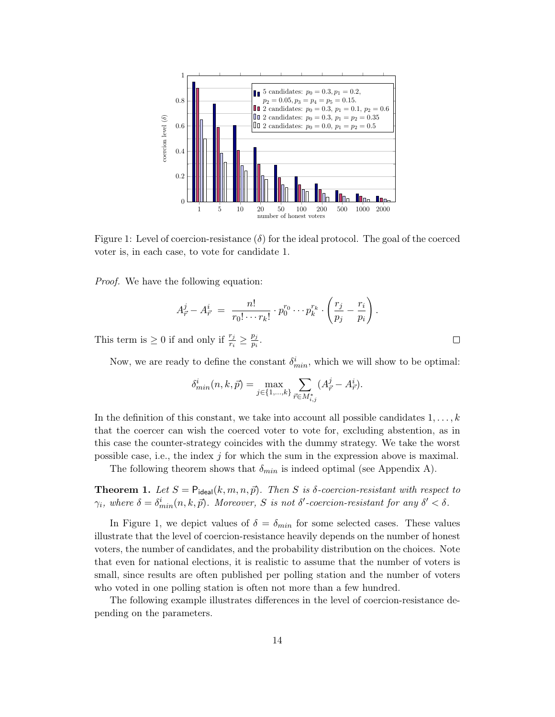

Figure 1: Level of coercion-resistance  $(\delta)$  for the ideal protocol. The goal of the coerced voter is, in each case, to vote for candidate 1.

Proof. We have the following equation:

$$
A_{\vec{r}}^j - A_{\vec{r}}^i = \frac{n!}{r_0! \cdots r_k!} \cdot p_0^{r_0} \cdots p_k^{r_k} \cdot \left(\frac{r_j}{p_j} - \frac{r_i}{p_i}\right)
$$

This term is  $\geq 0$  if and only if  $\frac{r_j}{r_i} \geq \frac{p_j}{p_i}$  $\frac{p_j}{p_i}.$ 

Now, we are ready to define the constant  $\delta_{min}^i$ , which we will show to be optimal:

$$
\delta^i_{min}(n,k,\vec{p}) = \max_{j \in \{1,\dots,k\}} \sum_{\vec{r} \in M^*_{i,j}} (A^j_{\vec{r}} - A^i_{\vec{r}}).
$$

In the definition of this constant, we take into account all possible candidates  $1, \ldots, k$ that the coercer can wish the coerced voter to vote for, excluding abstention, as in this case the counter-strategy coincides with the dummy strategy. We take the worst possible case, i.e., the index  $j$  for which the sum in the expression above is maximal.

The following theorem shows that  $\delta_{min}$  is indeed optimal (see Appendix A).

**Theorem 1.** Let  $S = P_{ideal}(k, m, n, \vec{p})$ . Then S is  $\delta$ -coercion-resistant with respect to  $\gamma_i$ , where  $\delta = \delta_{min}^i(n, k, \vec{p})$ . Moreover, S is not  $\delta'$ -coercion-resistant for any  $\delta' < \delta$ .

In Figure 1, we depict values of  $\delta = \delta_{min}$  for some selected cases. These values illustrate that the level of coercion-resistance heavily depends on the number of honest voters, the number of candidates, and the probability distribution on the choices. Note that even for national elections, it is realistic to assume that the number of voters is small, since results are often published per polling station and the number of voters who voted in one polling station is often not more than a few hundred.

The following example illustrates differences in the level of coercion-resistance depending on the parameters.

```
\Box
```
.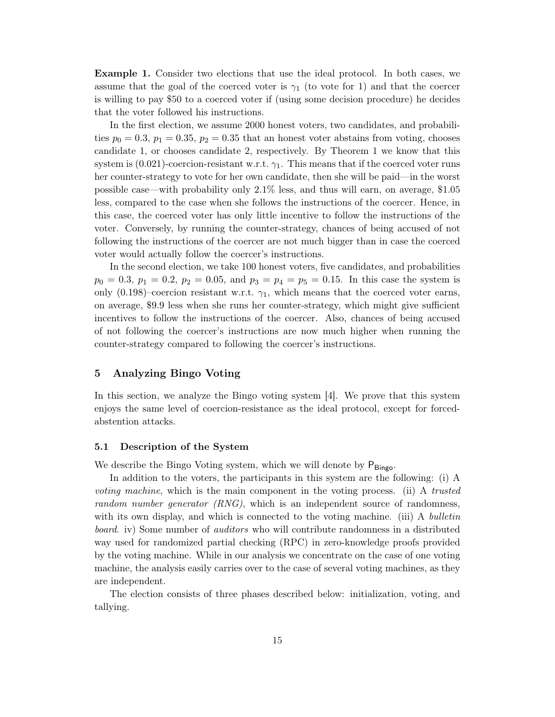Example 1. Consider two elections that use the ideal protocol. In both cases, we assume that the goal of the coerced voter is  $\gamma_1$  (to vote for 1) and that the coercer is willing to pay \$50 to a coerced voter if (using some decision procedure) he decides that the voter followed his instructions.

In the first election, we assume 2000 honest voters, two candidates, and probabilities  $p_0 = 0.3$ ,  $p_1 = 0.35$ ,  $p_2 = 0.35$  that an honest voter abstains from voting, chooses candidate 1, or chooses candidate 2, respectively. By Theorem 1 we know that this system is (0.021)-coercion-resistant w.r.t.  $\gamma_1$ . This means that if the coerced voter runs her counter-strategy to vote for her own candidate, then she will be paid—in the worst possible case—with probability only 2.1% less, and thus will earn, on average, \$1.05 less, compared to the case when she follows the instructions of the coercer. Hence, in this case, the coerced voter has only little incentive to follow the instructions of the voter. Conversely, by running the counter-strategy, chances of being accused of not following the instructions of the coercer are not much bigger than in case the coerced voter would actually follow the coercer's instructions.

In the second election, we take 100 honest voters, five candidates, and probabilities  $p_0 = 0.3, p_1 = 0.2, p_2 = 0.05, \text{ and } p_3 = p_4 = p_5 = 0.15.$  In this case the system is only  $(0.198)$ –coercion resistant w.r.t.  $\gamma_1$ , which means that the coerced voter earns, on average, \$9.9 less when she runs her counter-strategy, which might give sufficient incentives to follow the instructions of the coercer. Also, chances of being accused of not following the coercer's instructions are now much higher when running the counter-strategy compared to following the coercer's instructions.

## 5 Analyzing Bingo Voting

In this section, we analyze the Bingo voting system [4]. We prove that this system enjoys the same level of coercion-resistance as the ideal protocol, except for forcedabstention attacks.

#### 5.1 Description of the System

We describe the Bingo Voting system, which we will denote by P<sub>Bingo</sub>.

In addition to the voters, the participants in this system are the following: (i) A voting machine, which is the main component in the voting process. (ii) A trusted random number generator  $(RNG)$ , which is an independent source of randomness, with its own display, and which is connected to the voting machine. (iii) A *bulletin* board. iv) Some number of auditors who will contribute randomness in a distributed way used for randomized partial checking (RPC) in zero-knowledge proofs provided by the voting machine. While in our analysis we concentrate on the case of one voting machine, the analysis easily carries over to the case of several voting machines, as they are independent.

The election consists of three phases described below: initialization, voting, and tallying.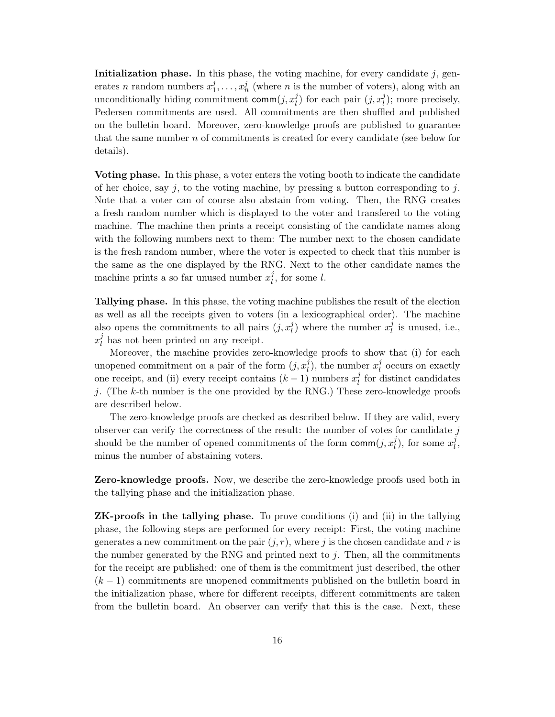**Initialization phase.** In this phase, the voting machine, for every candidate  $j$ , generates *n* random numbers  $x_1^j$  $i_1^j, \ldots, x_n^j$  (where *n* is the number of voters), along with an unconditionally hiding commitment  $\text{comm}(j, x_l^j)$  for each pair  $(j, x_l^j)$ ; more precisely, Pedersen commitments are used. All commitments are then shuffled and published on the bulletin board. Moreover, zero-knowledge proofs are published to guarantee that the same number  $n$  of commitments is created for every candidate (see below for details).

Voting phase. In this phase, a voter enters the voting booth to indicate the candidate of her choice, say j, to the voting machine, by pressing a button corresponding to j. Note that a voter can of course also abstain from voting. Then, the RNG creates a fresh random number which is displayed to the voter and transfered to the voting machine. The machine then prints a receipt consisting of the candidate names along with the following numbers next to them: The number next to the chosen candidate is the fresh random number, where the voter is expected to check that this number is the same as the one displayed by the RNG. Next to the other candidate names the machine prints a so far unused number  $x_l^j$  $l_i^j$ , for some l.

Tallying phase. In this phase, the voting machine publishes the result of the election as well as all the receipts given to voters (in a lexicographical order). The machine also opens the commitments to all pairs  $(j, x_l^j)$  where the number  $x_l^j$  $\ell$  is unused, i.e.,  $x_l^j$  $\ell$  has not been printed on any receipt.

Moreover, the machine provides zero-knowledge proofs to show that (i) for each unopened commitment on a pair of the form  $(j, x_l^j)$ , the number  $x_l^j$  $\ell_l^j$  occurs on exactly one receipt, and (ii) every receipt contains  $(k-1)$  numbers  $x_l^j$  $_l^j$  for distinct candidates j. (The k-th number is the one provided by the RNG.) These zero-knowledge proofs are described below.

The zero-knowledge proofs are checked as described below. If they are valid, every observer can verify the correctness of the result: the number of votes for candidate  $j$ should be the number of opened commitments of the form  $\mathsf{comm}(j, x_l^j),$  for some  $x_l^j$  $_l^j,$ minus the number of abstaining voters.

Zero-knowledge proofs. Now, we describe the zero-knowledge proofs used both in the tallying phase and the initialization phase.

ZK-proofs in the tallying phase. To prove conditions (i) and (ii) in the tallying phase, the following steps are performed for every receipt: First, the voting machine generates a new commitment on the pair  $(j, r)$ , where j is the chosen candidate and r is the number generated by the RNG and printed next to  $j$ . Then, all the commitments for the receipt are published: one of them is the commitment just described, the other  $(k-1)$  commitments are unopened commitments published on the bulletin board in the initialization phase, where for different receipts, different commitments are taken from the bulletin board. An observer can verify that this is the case. Next, these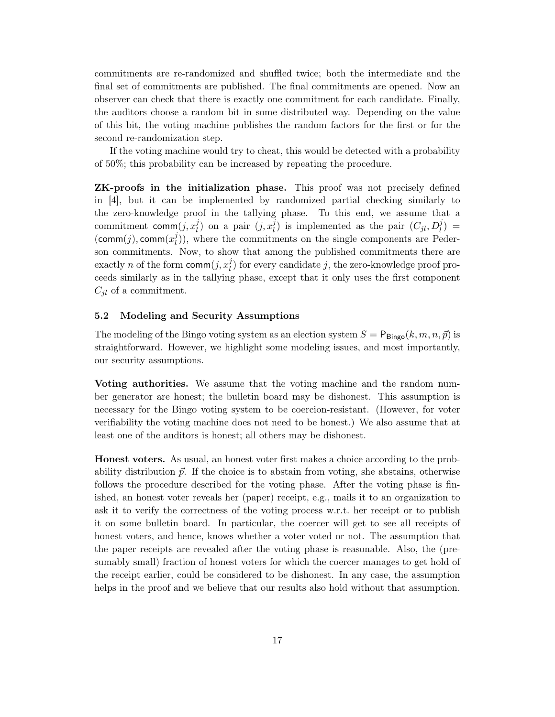commitments are re-randomized and shuffled twice; both the intermediate and the final set of commitments are published. The final commitments are opened. Now an observer can check that there is exactly one commitment for each candidate. Finally, the auditors choose a random bit in some distributed way. Depending on the value of this bit, the voting machine publishes the random factors for the first or for the second re-randomization step.

If the voting machine would try to cheat, this would be detected with a probability of 50%; this probability can be increased by repeating the procedure.

ZK-proofs in the initialization phase. This proof was not precisely defined in [4], but it can be implemented by randomized partial checking similarly to the zero-knowledge proof in the tallying phase. To this end, we assume that a commitment comm $(j, x_l^j)$  on a pair  $(j, x_l^j)$  is implemented as the pair  $(C_{jl}, D_l^j)$  =  $(\text{comm}(j), \text{comm}(x_i^j))$  $\binom{1}{l}$ , where the commitments on the single components are Pederson commitments. Now, to show that among the published commitments there are exactly *n* of the form  $\text{comm}(j, x_i^j)$  for every candidate *j*, the zero-knowledge proof proceeds similarly as in the tallying phase, except that it only uses the first component  $C_{jl}$  of a commitment.

### 5.2 Modeling and Security Assumptions

The modeling of the Bingo voting system as an election system  $S = P_{\text{Binge}}(k, m, n, \vec{p})$  is straightforward. However, we highlight some modeling issues, and most importantly, our security assumptions.

Voting authorities. We assume that the voting machine and the random number generator are honest; the bulletin board may be dishonest. This assumption is necessary for the Bingo voting system to be coercion-resistant. (However, for voter verifiability the voting machine does not need to be honest.) We also assume that at least one of the auditors is honest; all others may be dishonest.

Honest voters. As usual, an honest voter first makes a choice according to the probability distribution  $\vec{p}$ . If the choice is to abstain from voting, she abstains, otherwise follows the procedure described for the voting phase. After the voting phase is finished, an honest voter reveals her (paper) receipt, e.g., mails it to an organization to ask it to verify the correctness of the voting process w.r.t. her receipt or to publish it on some bulletin board. In particular, the coercer will get to see all receipts of honest voters, and hence, knows whether a voter voted or not. The assumption that the paper receipts are revealed after the voting phase is reasonable. Also, the (presumably small) fraction of honest voters for which the coercer manages to get hold of the receipt earlier, could be considered to be dishonest. In any case, the assumption helps in the proof and we believe that our results also hold without that assumption.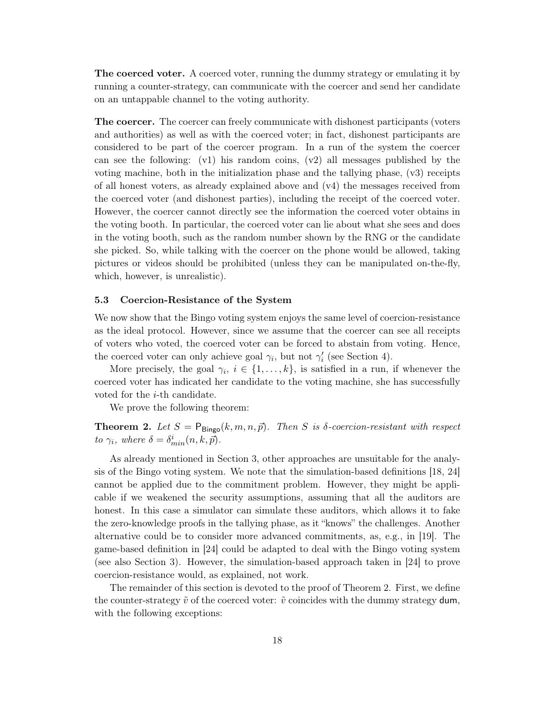The coerced voter. A coerced voter, running the dummy strategy or emulating it by running a counter-strategy, can communicate with the coercer and send her candidate on an untappable channel to the voting authority.

The coercer. The coercer can freely communicate with dishonest participants (voters and authorities) as well as with the coerced voter; in fact, dishonest participants are considered to be part of the coercer program. In a run of the system the coercer can see the following:  $(v1)$  his random coins,  $(v2)$  all messages published by the voting machine, both in the initialization phase and the tallying phase, (v3) receipts of all honest voters, as already explained above and (v4) the messages received from the coerced voter (and dishonest parties), including the receipt of the coerced voter. However, the coercer cannot directly see the information the coerced voter obtains in the voting booth. In particular, the coerced voter can lie about what she sees and does in the voting booth, such as the random number shown by the RNG or the candidate she picked. So, while talking with the coercer on the phone would be allowed, taking pictures or videos should be prohibited (unless they can be manipulated on-the-fly, which, however, is unrealistic).

### 5.3 Coercion-Resistance of the System

We now show that the Bingo voting system enjoys the same level of coercion-resistance as the ideal protocol. However, since we assume that the coercer can see all receipts of voters who voted, the coerced voter can be forced to abstain from voting. Hence, the coerced voter can only achieve goal  $\gamma_i$ , but not  $\gamma'_i$  (see Section 4).

More precisely, the goal  $\gamma_i$ ,  $i \in \{1, ..., k\}$ , is satisfied in a run, if whenever the coerced voter has indicated her candidate to the voting machine, she has successfully voted for the i-th candidate.

We prove the following theorem:

**Theorem 2.** Let  $S = P_{\text{Bingo}}(k, m, n, \vec{p})$ . Then S is  $\delta$ -coercion-resistant with respect to  $\gamma_i$ , where  $\delta = \delta_{min}^i(n, k, \vec{p}).$ 

As already mentioned in Section 3, other approaches are unsuitable for the analysis of the Bingo voting system. We note that the simulation-based definitions [18, 24] cannot be applied due to the commitment problem. However, they might be applicable if we weakened the security assumptions, assuming that all the auditors are honest. In this case a simulator can simulate these auditors, which allows it to fake the zero-knowledge proofs in the tallying phase, as it "knows" the challenges. Another alternative could be to consider more advanced commitments, as, e.g., in [19]. The game-based definition in [24] could be adapted to deal with the Bingo voting system (see also Section 3). However, the simulation-based approach taken in [24] to prove coercion-resistance would, as explained, not work.

The remainder of this section is devoted to the proof of Theorem 2. First, we define the counter-strategy  $\tilde{v}$  of the coerced voter:  $\tilde{v}$  coincides with the dummy strategy dum, with the following exceptions: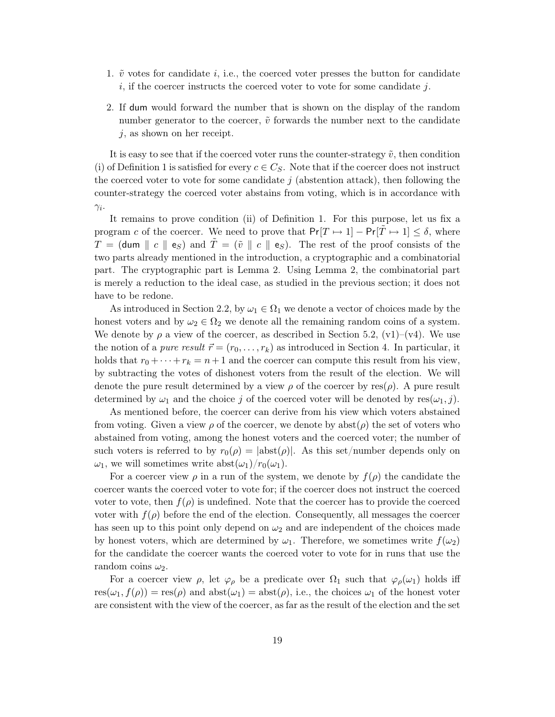- 1.  $\tilde{v}$  votes for candidate i, i.e., the coerced voter presses the button for candidate  $i$ , if the coercer instructs the coerced voter to vote for some candidate  $j$ .
- 2. If dum would forward the number that is shown on the display of the random number generator to the coercer,  $\tilde{v}$  forwards the number next to the candidate  $j$ , as shown on her receipt.

It is easy to see that if the coerced voter runs the counter-strategy  $\tilde{v}$ , then condition (i) of Definition 1 is satisfied for every  $c \in C_S$ . Note that if the coercer does not instruct the coerced voter to vote for some candidate  $j$  (abstention attack), then following the counter-strategy the coerced voter abstains from voting, which is in accordance with  $\gamma_i$ .

It remains to prove condition (ii) of Definition 1. For this purpose, let us fix a program c of the coercer. We need to prove that  $Pr[T \mapsto 1] - Pr[T \mapsto 1] \leq \delta$ , where  $T = (\text{dum } \parallel c \parallel \mathbf{e}_S)$  and  $\tilde{T} = (\tilde{v} \parallel c \parallel \mathbf{e}_S)$ . The rest of the proof consists of the two parts already mentioned in the introduction, a cryptographic and a combinatorial part. The cryptographic part is Lemma 2. Using Lemma 2, the combinatorial part is merely a reduction to the ideal case, as studied in the previous section; it does not have to be redone.

As introduced in Section 2.2, by  $\omega_1 \in \Omega_1$  we denote a vector of choices made by the honest voters and by  $\omega_2 \in \Omega_2$  we denote all the remaining random coins of a system. We denote by  $\rho$  a view of the coercer, as described in Section 5.2, (v1)–(v4). We use the notion of a *pure result*  $\vec{r} = (r_0, \ldots, r_k)$  as introduced in Section 4. In particular, it holds that  $r_0 + \cdots + r_k = n+1$  and the coercer can compute this result from his view, by subtracting the votes of dishonest voters from the result of the election. We will denote the pure result determined by a view  $\rho$  of the coercer by res( $\rho$ ). A pure result determined by  $\omega_1$  and the choice j of the coerced voter will be denoted by res $(\omega_1, j)$ .

As mentioned before, the coercer can derive from his view which voters abstained from voting. Given a view  $\rho$  of the coercer, we denote by abst $(\rho)$  the set of voters who abstained from voting, among the honest voters and the coerced voter; the number of such voters is referred to by  $r_0(\rho) = |\text{abst}(\rho)|$ . As this set/number depends only on  $\omega_1$ , we will sometimes write abst $(\omega_1)/r_0(\omega_1)$ .

For a coercer view  $\rho$  in a run of the system, we denote by  $f(\rho)$  the candidate the coercer wants the coerced voter to vote for; if the coercer does not instruct the coerced voter to vote, then  $f(\rho)$  is undefined. Note that the coercer has to provide the coerced voter with  $f(\rho)$  before the end of the election. Consequently, all messages the coercer has seen up to this point only depend on  $\omega_2$  and are independent of the choices made by honest voters, which are determined by  $\omega_1$ . Therefore, we sometimes write  $f(\omega_2)$ for the candidate the coercer wants the coerced voter to vote for in runs that use the random coins  $\omega_2$ .

For a coercer view  $\rho$ , let  $\varphi_{\rho}$  be a predicate over  $\Omega_1$  such that  $\varphi_{\rho}(\omega_1)$  holds iff  $res(\omega_1, f(\rho)) = res(\rho)$  and  $abs(\omega_1) = abs(t)$ , i.e., the choices  $\omega_1$  of the honest voter are consistent with the view of the coercer, as far as the result of the election and the set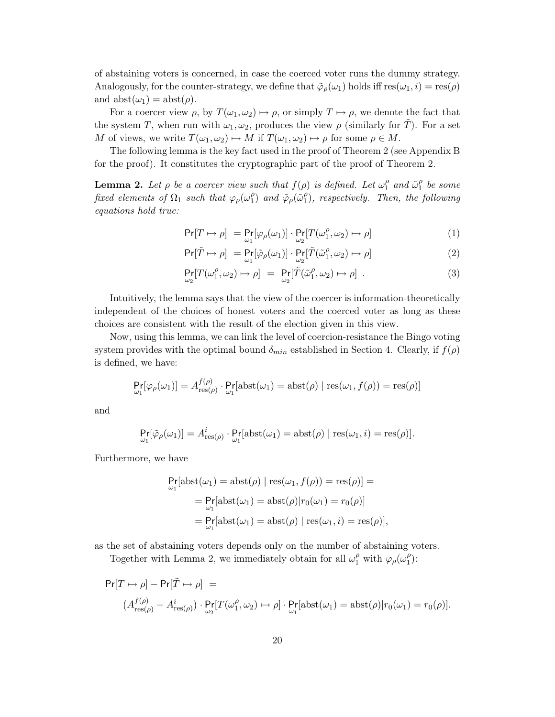of abstaining voters is concerned, in case the coerced voter runs the dummy strategy. Analogously, for the counter-strategy, we define that  $\tilde{\varphi}_{\rho}(\omega_1)$  holds iff res $(\omega_1, i) = \text{res}(\rho)$ and  $abst(\omega_1) = abst(\rho)$ .

For a coercer view  $\rho$ , by  $T(\omega_1, \omega_2) \mapsto \rho$ , or simply  $T \mapsto \rho$ , we denote the fact that the system T, when run with  $\omega_1, \omega_2$ , produces the view  $\rho$  (similarly for T). For a set M of views, we write  $T(\omega_1, \omega_2) \mapsto M$  if  $T(\omega_1, \omega_2) \mapsto \rho$  for some  $\rho \in M$ .

The following lemma is the key fact used in the proof of Theorem 2 (see Appendix B for the proof). It constitutes the cryptographic part of the proof of Theorem 2.

**Lemma 2.** Let  $\rho$  be a coercer view such that  $f(\rho)$  is defined. Let  $\omega_1^{\rho}$  $\int_1^{\rho}$  and  $\tilde{\omega}_1^{\rho}$  $\int_{1}^{\rho}$  be some fixed elements of  $\Omega_1$  such that  $\varphi_{\rho}(\omega_1^{\rho})$  $_{1}^{\rho}$ ) and  $\tilde{\varphi}_{\rho}(\tilde{\omega}_{1}^{\rho})$  $_{1}^{\rho}$ ), respectively. Then, the following equations hold true:

$$
\Pr[T \mapsto \rho] = \Pr_{\omega_1}[\varphi_{\rho}(\omega_1)] \cdot \Pr_{\omega_2}[T(\omega_1^{\rho}, \omega_2) \mapsto \rho] \tag{1}
$$

$$
\Pr[\tilde{T} \mapsto \rho] = \Pr_{\omega_1}[\tilde{\varphi}_{\rho}(\omega_1)] \cdot \Pr_{\omega_2}[\tilde{T}(\tilde{\omega}_1^{\rho}, \omega_2) \mapsto \rho] \tag{2}
$$

$$
\Pr_{\omega_2}[T(\omega_1^{\rho}, \omega_2) \mapsto \rho] = \Pr_{\omega_2}[\tilde{T}(\tilde{\omega}_1^{\rho}, \omega_2) \mapsto \rho] . \tag{3}
$$

Intuitively, the lemma says that the view of the coercer is information-theoretically independent of the choices of honest voters and the coerced voter as long as these choices are consistent with the result of the election given in this view.

Now, using this lemma, we can link the level of coercion-resistance the Bingo voting system provides with the optimal bound  $\delta_{min}$  established in Section 4. Clearly, if  $f(\rho)$ is defined, we have:

$$
\Pr_{\omega_1}[\varphi_{\rho}(\omega_1)] = A_{\text{res}(\rho)}^{f(\rho)} \cdot \Pr_{\omega_1}[\text{abst}(\omega_1) = \text{abst}(\rho) \mid \text{res}(\omega_1, f(\rho)) = \text{res}(\rho)]
$$

and

$$
\Pr_{\omega_1}[\tilde{\varphi}_{\rho}(\omega_1)] = A^i_{\text{res}(\rho)} \cdot \Pr_{\omega_1}[\text{abst}(\omega_1) = \text{abst}(\rho) \mid \text{res}(\omega_1, i) = \text{res}(\rho)].
$$

Furthermore, we have

$$
\Pr_{\omega_1}[\text{abst}(\omega_1) = \text{abst}(\rho) \mid \text{res}(\omega_1, f(\rho)) = \text{res}(\rho)] =
$$
\n
$$
= \Pr_{\omega_1}[\text{abst}(\omega_1) = \text{abst}(\rho) | r_0(\omega_1) = r_0(\rho)]
$$
\n
$$
= \Pr_{\omega_1}[\text{abst}(\omega_1) = \text{abst}(\rho) \mid \text{res}(\omega_1, i) = \text{res}(\rho)],
$$

as the set of abstaining voters depends only on the number of abstaining voters.

Together with Lemma 2, we immediately obtain for all  $\omega_1^{\rho}$  with  $\varphi_{\rho}(\omega_1^{\rho})$  $_{1}^{\rho}$ ):

$$
Pr[T \mapsto \rho] - Pr[\tilde{T} \mapsto \rho] =
$$
  

$$
(A_{res(\rho)}^{f(\rho)} - A_{res(\rho)}^i) \cdot Pr[T(\omega_1^{\rho}, \omega_2) \mapsto \rho] \cdot Pr[\text{abst}(\omega_1) = \text{abst}(\rho)|r_0(\omega_1) = r_0(\rho)].
$$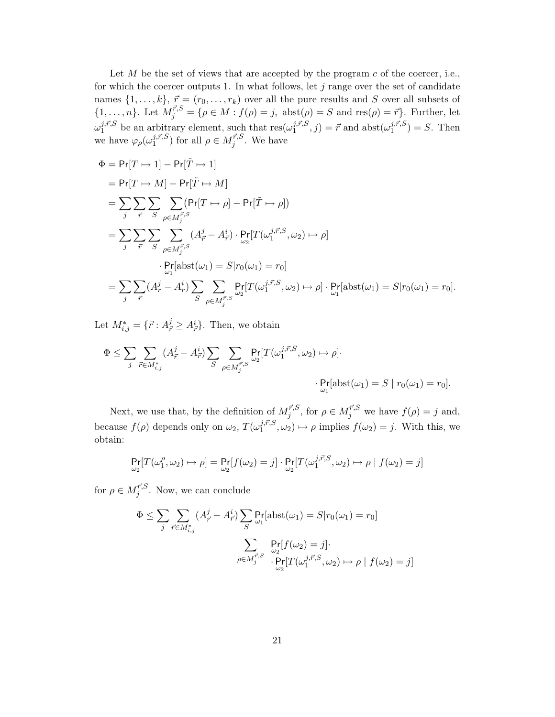Let  $M$  be the set of views that are accepted by the program  $c$  of the coercer, i.e., for which the coercer outputs 1. In what follows, let  $j$  range over the set of candidate names  $\{1, \ldots, k\}, \, \vec{r} = (r_0, \ldots, r_k)$  over all the pure results and S over all subsets of  $\{1,\ldots,n\}$ . Let  $M_j^{\vec{r},S} = \{\rho \in M : f(\rho) = j, \text{ abst}(\rho) = S \text{ and } \text{res}(\rho) = \vec{r}\}\.$  Further, let  $\omega_1^{j,\vec{r},S}$  be an arbitrary element, such that  $res(\omega_1^{j,\vec{r},S})$  $j, \vec{r}, S$ ,  $j) = \vec{r}$  and  $\text{abst}(\omega_1^{j, \vec{r}, S})$  $j^{(r,s)}_{1}(s) = S$ . Then we have  $\varphi_{\rho}(\omega_1^{j,\vec{r},S})$  $j, \vec{r}, S$  for all  $\rho \in M^{\vec{r}, S}_{j}$  $j^{r,s}$ . We have

$$
\Phi = \Pr[T \mapsto 1] - \Pr[\tilde{T} \mapsto 1]
$$
\n
$$
= \Pr[T \mapsto M] - \Pr[\tilde{T} \mapsto M]
$$
\n
$$
= \sum_{j} \sum_{\vec{r}} \sum_{S} \sum_{\rho \in M_j^{\vec{r},S}} (\Pr[T \mapsto \rho] - \Pr[\tilde{T} \mapsto \rho])
$$
\n
$$
= \sum_{j} \sum_{\vec{r}} \sum_{S} \sum_{\rho \in M_j^{\vec{r},S}} (A_{\vec{r}}^j - A_{\vec{r}}^i) \cdot \Pr[T(\omega_1^{j,\vec{r},S}, \omega_2) \mapsto \rho]
$$
\n
$$
\cdot \Pr[\text{abst}(\omega_1) = S | r_0(\omega_1) = r_0]
$$
\n
$$
= \sum_{j} \sum_{\vec{r}} (A_{r}^j - A_{r}^i) \sum_{S} \sum_{\rho \in M_j^{\vec{r},S}} \Pr[T(\omega_1^{j,\vec{r},S}, \omega_2) \mapsto \rho] \cdot \Pr[\text{abst}(\omega_1) = S | r_0(\omega_1) = r_0].
$$

Let  $M^*_{i,j} = \{\vec{r} : A^j_{\vec{r}} \geq A^i_{\vec{r}}\}\.$  Then, we obtain

$$
\Phi \leq \sum_{j} \sum_{\vec{r} \in M_{i,j}^*} (A_{\vec{r}}^j - A_{\vec{r}}^i) \sum_{S} \sum_{\rho \in M_{j}^{\vec{r},S}} \Pr_{\omega_2} [T(\omega_1^{j,\vec{r},S}, \omega_2) \mapsto \rho] \cdot \Pr[\text{abst}(\omega_1) = S \mid r_0(\omega_1) = r_0].
$$

Next, we use that, by the definition of  $M_i^{\vec{r},S}$  $j^{\vec{r},S}$ , for  $\rho \in M^{\vec{r},S}_{j}$  we have  $f(\rho) = j$  and, because  $f(\rho)$  depends only on  $\omega_2$ ,  $T(\omega_1^{j,\vec{r},S})$  $j^{(r,s)}_1, \omega_2$   $\mapsto \rho$  implies  $f(\omega_2) = j$ . With this, we obtain:

$$
\Pr_{\omega_2}[T(\omega_1^{\rho}, \omega_2) \mapsto \rho] = \Pr_{\omega_2}[f(\omega_2) = j] \cdot \Pr_{\omega_2}[T(\omega_1^{j, \vec{r}, S}, \omega_2) \mapsto \rho \mid f(\omega_2) = j]
$$

for  $\rho \in M^{\vec{r},S}_{i}$  $j^{r, S}$ . Now, we can conclude

$$
\Phi \leq \sum_{j} \sum_{\vec{r} \in M_{i,j}^*} (A_{\vec{r}}^j - A_{\vec{r}}^i) \sum_{S} \Pr[\text{abst}(\omega_1) = S | r_0(\omega_1) = r_0]
$$

$$
\sum_{\substack{\nu_2 \nu_1 \\ \nu_2 \in M_j^{\vec{r}, S}}} \Pr[\text{f}(\omega_2) = j].
$$

$$
\Pr[\text{f}(\omega_1^{j, \vec{r}, S}, \omega_2) \mapsto \rho \mid f(\omega_2) = j]
$$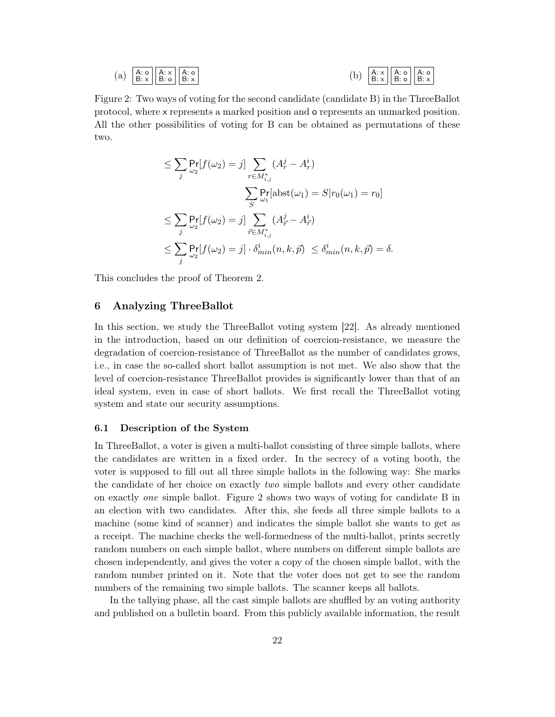(a) <sup>A</sup>: <sup>o</sup> B: x A: x B: o A: o B: x (b) <sup>A</sup>: <sup>x</sup> B: x A: o B: o A: o B: x

Figure 2: Two ways of voting for the second candidate (candidate B) in the ThreeBallot protocol, where x represents a marked position and o represents an unmarked position. All the other possibilities of voting for B can be obtained as permutations of these two.

$$
\leq \sum_{j} \Pr_{\omega_2} [f(\omega_2) = j] \sum_{r \in M_{i,j}^*} (A_r^j - A_r^i)
$$
  

$$
\sum_{S} \Pr_{\omega_1} [\text{abst}(\omega_1) = S | r_0(\omega_1) = r_0]
$$
  

$$
\leq \sum_{j} \Pr_{\omega_2} [f(\omega_2) = j] \sum_{\vec{r} \in M_{i,j}^*} (A_{\vec{r}}^j - A_{\vec{r}}^i)
$$
  

$$
\leq \sum_{j} \Pr_{\omega_2} [f(\omega_2) = j] \cdot \delta_{min}^i(n, k, \vec{p}) \leq \delta_{min}^i(n, k, \vec{p}) = \delta.
$$

This concludes the proof of Theorem 2.

## 6 Analyzing ThreeBallot

In this section, we study the ThreeBallot voting system [22]. As already mentioned in the introduction, based on our definition of coercion-resistance, we measure the degradation of coercion-resistance of ThreeBallot as the number of candidates grows, i.e., in case the so-called short ballot assumption is not met. We also show that the level of coercion-resistance ThreeBallot provides is significantly lower than that of an ideal system, even in case of short ballots. We first recall the ThreeBallot voting system and state our security assumptions.

## 6.1 Description of the System

In ThreeBallot, a voter is given a multi-ballot consisting of three simple ballots, where the candidates are written in a fixed order. In the secrecy of a voting booth, the voter is supposed to fill out all three simple ballots in the following way: She marks the candidate of her choice on exactly two simple ballots and every other candidate on exactly one simple ballot. Figure 2 shows two ways of voting for candidate B in an election with two candidates. After this, she feeds all three simple ballots to a machine (some kind of scanner) and indicates the simple ballot she wants to get as a receipt. The machine checks the well-formedness of the multi-ballot, prints secretly random numbers on each simple ballot, where numbers on different simple ballots are chosen independently, and gives the voter a copy of the chosen simple ballot, with the random number printed on it. Note that the voter does not get to see the random numbers of the remaining two simple ballots. The scanner keeps all ballots.

In the tallying phase, all the cast simple ballots are shuffled by an voting authority and published on a bulletin board. From this publicly available information, the result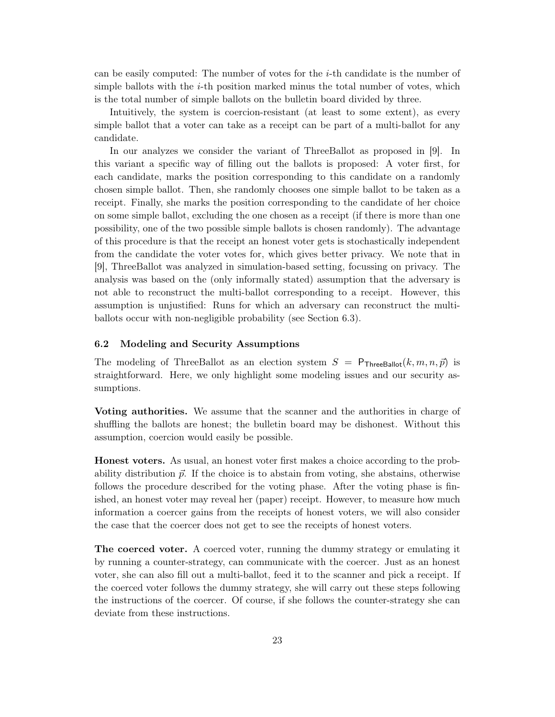can be easily computed: The number of votes for the  $i$ -th candidate is the number of simple ballots with the i-th position marked minus the total number of votes, which is the total number of simple ballots on the bulletin board divided by three.

Intuitively, the system is coercion-resistant (at least to some extent), as every simple ballot that a voter can take as a receipt can be part of a multi-ballot for any candidate.

In our analyzes we consider the variant of ThreeBallot as proposed in [9]. In this variant a specific way of filling out the ballots is proposed: A voter first, for each candidate, marks the position corresponding to this candidate on a randomly chosen simple ballot. Then, she randomly chooses one simple ballot to be taken as a receipt. Finally, she marks the position corresponding to the candidate of her choice on some simple ballot, excluding the one chosen as a receipt (if there is more than one possibility, one of the two possible simple ballots is chosen randomly). The advantage of this procedure is that the receipt an honest voter gets is stochastically independent from the candidate the voter votes for, which gives better privacy. We note that in [9], ThreeBallot was analyzed in simulation-based setting, focussing on privacy. The analysis was based on the (only informally stated) assumption that the adversary is not able to reconstruct the multi-ballot corresponding to a receipt. However, this assumption is unjustified: Runs for which an adversary can reconstruct the multiballots occur with non-negligible probability (see Section 6.3).

#### 6.2 Modeling and Security Assumptions

The modeling of ThreeBallot as an election system  $S = P_{\text{ThreeBallot}}(k, m, n, \vec{p})$  is straightforward. Here, we only highlight some modeling issues and our security assumptions.

Voting authorities. We assume that the scanner and the authorities in charge of shuffling the ballots are honest; the bulletin board may be dishonest. Without this assumption, coercion would easily be possible.

Honest voters. As usual, an honest voter first makes a choice according to the probability distribution  $\vec{p}$ . If the choice is to abstain from voting, she abstains, otherwise follows the procedure described for the voting phase. After the voting phase is finished, an honest voter may reveal her (paper) receipt. However, to measure how much information a coercer gains from the receipts of honest voters, we will also consider the case that the coercer does not get to see the receipts of honest voters.

The coerced voter. A coerced voter, running the dummy strategy or emulating it by running a counter-strategy, can communicate with the coercer. Just as an honest voter, she can also fill out a multi-ballot, feed it to the scanner and pick a receipt. If the coerced voter follows the dummy strategy, she will carry out these steps following the instructions of the coercer. Of course, if she follows the counter-strategy she can deviate from these instructions.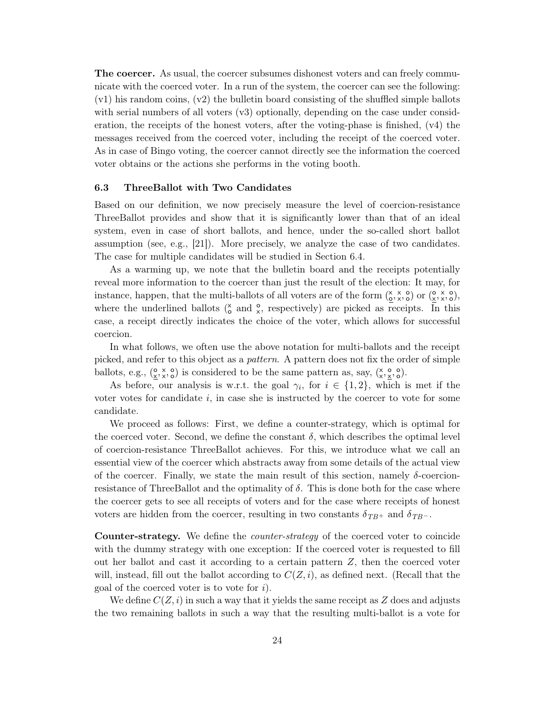The coercer. As usual, the coercer subsumes dishonest voters and can freely communicate with the coerced voter. In a run of the system, the coercer can see the following:  $(v1)$  his random coins,  $(v2)$  the bulletin board consisting of the shuffled simple ballots with serial numbers of all voters (v3) optionally, depending on the case under consideration, the receipts of the honest voters, after the voting-phase is finished, (v4) the messages received from the coerced voter, including the receipt of the coerced voter. As in case of Bingo voting, the coercer cannot directly see the information the coerced voter obtains or the actions she performs in the voting booth.

#### 6.3 ThreeBallot with Two Candidates

Based on our definition, we now precisely measure the level of coercion-resistance ThreeBallot provides and show that it is significantly lower than that of an ideal system, even in case of short ballots, and hence, under the so-called short ballot assumption (see, e.g., [21]). More precisely, we analyze the case of two candidates. The case for multiple candidates will be studied in Section 6.4.

As a warming up, we note that the bulletin board and the receipts potentially reveal more information to the coercer than just the result of the election: It may, for instance, happen, that the multi-ballots of all voters are of the form  $(\underline{\mathsf{x}}, \mathsf{x}, \underline{\mathsf{o}})$  or  $(\underline{\mathsf{x}}, \mathsf{x}, \underline{\mathsf{o}})$ , where the underlined ballots  $\binom{x}{0}$  and  $\frac{0}{x}$ , respectively) are picked as receipts. In this case, a receipt directly indicates the choice of the voter, which allows for successful coercion.

In what follows, we often use the above notation for multi-ballots and the receipt picked, and refer to this object as a pattern. A pattern does not fix the order of simple ballots, e.g.,  $\left(\frac{0}{x}, \frac{x}{x}, \frac{0}{0}\right)$  is considered to be the same pattern as, say,  $\left(\frac{x}{x}, \frac{0}{x}, \frac{0}{0}\right)$ .

As before, our analysis is w.r.t. the goal  $\gamma_i$ , for  $i \in \{1,2\}$ , which is met if the voter votes for candidate  $i$ , in case she is instructed by the coercer to vote for some candidate.

We proceed as follows: First, we define a counter-strategy, which is optimal for the coerced voter. Second, we define the constant  $\delta$ , which describes the optimal level of coercion-resistance ThreeBallot achieves. For this, we introduce what we call an essential view of the coercer which abstracts away from some details of the actual view of the coercer. Finally, we state the main result of this section, namely  $\delta$ -coercionresistance of ThreeBallot and the optimality of  $\delta$ . This is done both for the case where the coercer gets to see all receipts of voters and for the case where receipts of honest voters are hidden from the coercer, resulting in two constants  $\delta_{TB^+}$  and  $\delta_{TB^-}$ .

Counter-strategy. We define the counter-strategy of the coerced voter to coincide with the dummy strategy with one exception: If the coerced voter is requested to fill out her ballot and cast it according to a certain pattern  $Z$ , then the coerced voter will, instead, fill out the ballot according to  $C(Z, i)$ , as defined next. (Recall that the goal of the coerced voter is to vote for i).

We define  $C(Z, i)$  in such a way that it yields the same receipt as Z does and adjusts the two remaining ballots in such a way that the resulting multi-ballot is a vote for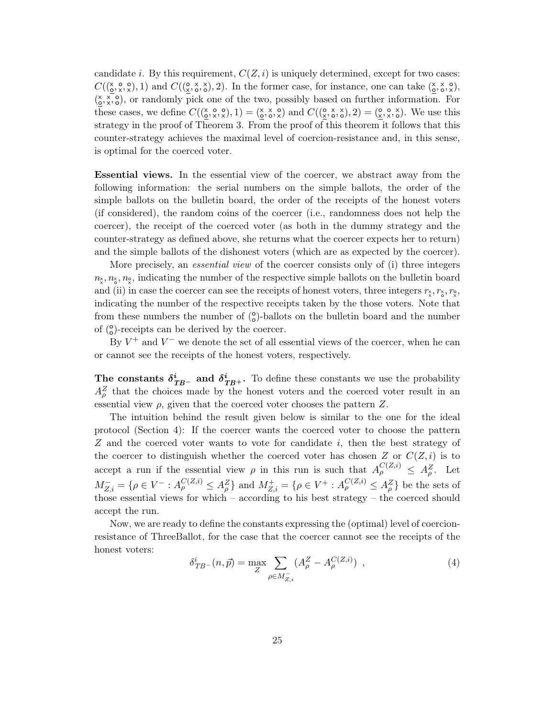candidate *i*. By this requirement,  $C(Z, i)$  is uniquely determined, except for two cases:  $C((\mathsf{X}_{\mathsf{Q}}^{\mathsf{X}},\mathsf{S}_{\mathsf{Q}}^{\mathsf{Q}}),1)$  and  $C((\mathsf{X}_{\mathsf{X}}^{\mathsf{Q}},\mathsf{S}_{\mathsf{Q}}^{\mathsf{Q}}),2)$ . In the former case, for instance, one can take  $(\mathsf{X}_{\mathsf{Q}}^{\mathsf{X}},\mathsf{X}_{\mathsf{Q}}^{\mathsf{Q}}),$  $(\underline{\mathsf{x}}, \overline{\mathsf{x}}, \overline{\mathsf{0}})$ , or randomly pick one of the two, possibly based on further information. For these cases, we define  $C((\overset{\mathsf{x}}{\underset{\mathsf{0}}{0}};\overset{\mathsf{o}}{\underset{\mathsf{x}}{0}}),1)=(\overset{\mathsf{x}}{\underset{\mathsf{0}}{0}};\overset{\mathsf{x}}{\underset{\mathsf{0}}{0}})$  and  $C((\overset{\mathsf{0}}{\underset{\mathsf{x}}{0}};\overset{\mathsf{x}}{\underset{\mathsf{x}}{0}}),2)=(\overset{\mathsf{o}}{\underset{\mathsf{x}}{0}};\overset{\mathsf{x}}{\underset{\mathsf{x}}{0}})$ . We use this strategy in the proof of Theorem 3. From the proof of this theorem it follows that this counter-strategy achieves the maximal level of coercion-resistance and, in this sense, is optimal for the coerced voter.

Essential views. In the essential view of the coercer, we abstract away from the following information: the serial numbers on the simple ballots, the order of the simple ballots on the bulletin board, the order of the receipts of the honest voters (if considered), the random coins of the coercer (i.e., randomness does not help the coercer), the receipt of the coerced voter (as both in the dummy strategy and the counter-strategy as defined above, she returns what the coercer expects her to return) and the simple ballots of the dishonest voters (which are as expected by the coercer).

More precisely, an *essential view* of the coercer consists only of (i) three integers  $n_{\tilde{x}}, n_{\tilde{y}}, n_{\tilde{y}},$  indicating the number of the respective simple ballots on the bulletin board and (ii) in case the coercer can see the receipts of honest voters, three integers  $r_{\frac{2}{x}}, r_{\frac{5}{x}}, r_{\frac{9}{x}}, r_{\frac{9}{x}}$ indicating the number of the respective receipts taken by the those voters. Note that from these numbers the number of  $\binom{0}{0}$ -ballots on the bulletin board and the number of  $\binom{0}{0}$ -receipts can be derived by the coercer.

By  $V^+$  and  $V^-$  we denote the set of all essential views of the coercer, when he can or cannot see the receipts of the honest voters, respectively.

The constants  $\delta_{TB-}^i$  and  $\delta_{TB+}^i$ . To define these constants we use the probability  $A_{\rho}^{Z}$  that the choices made by the honest voters and the coerced voter result in an essential view  $\rho$ , given that the coerced voter chooses the pattern  $Z$ .

The intuition behind the result given below is similar to the one for the ideal protocol (Section 4): If the coercer wants the coerced voter to choose the pattern Z and the coerced voter wants to vote for candidate i, then the best strategy of the coercer to distinguish whether the coerced voter has chosen  $Z$  or  $C(Z, i)$  is to accept a run if the essential view  $\rho$  in this run is such that  $A_{\rho}^{C(Z,i)} \leq A_{\rho}^{Z}$ . Let  $M_{Z,i}^- = \{ \rho \in V^- : A_{\rho}^{C(Z,i)} \leq A_{\rho}^Z \}$  and  $M_{Z,i}^+ = \{ \rho \in V^+ : A_{\rho}^{C(Z,i)} \leq A_{\rho}^Z \}$  be the sets of those essential views for which – according to his best strategy – the coerced should accept the run.

Now, we are ready to define the constants expressing the (optimal) level of coercionresistance of ThreeBallot, for the case that the coercer cannot see the receipts of the honest voters:

$$
\delta_{TB^{-}}^{i}(n,\vec{p}) = \max_{Z} \sum_{\rho \in M_{Z,i}^{-}} (A_{\rho}^{Z} - A_{\rho}^{C(Z,i)}) \quad , \tag{4}
$$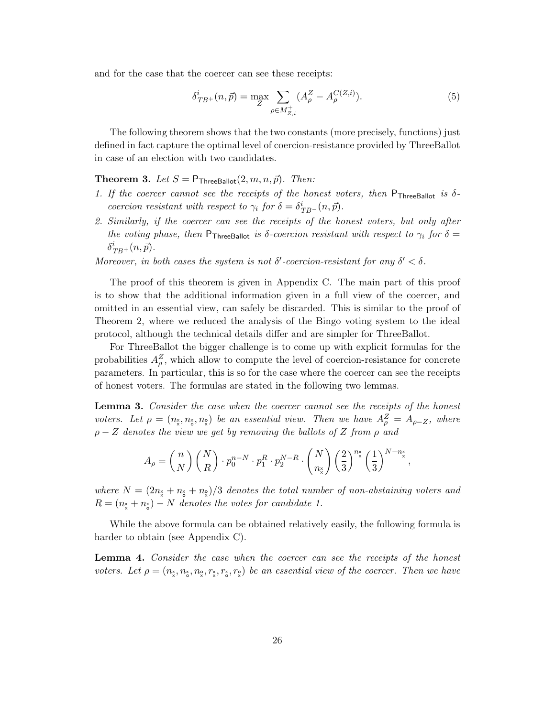and for the case that the coercer can see these receipts:

$$
\delta_{TB+}^{i}(n,\vec{p}) = \max_{Z} \sum_{\rho \in M_{Z,i}^{+}} (A_{\rho}^{Z} - A_{\rho}^{C(Z,i)}).
$$
\n(5)

The following theorem shows that the two constants (more precisely, functions) just defined in fact capture the optimal level of coercion-resistance provided by ThreeBallot in case of an election with two candidates.

# **Theorem 3.** Let  $S = P_{\text{ThreeBallot}}(2, m, n, \vec{p})$ . Then:

- 1. If the coercer cannot see the receipts of the honest voters, then  $P$ ThreeBallot is  $\delta$ coercion resistant with respect to  $\gamma_i$  for  $\delta = \delta_{TB}^i - (n, \vec{p}).$
- 2. Similarly, if the coercer can see the receipts of the honest voters, but only after the voting phase, then PThreeBallot is δ-coercion resistant with respect to  $\gamma_i$  for  $\delta =$  $\delta^i_{TB^+}(n,\vec{p}).$
- Moreover, in both cases the system is not  $\delta'$ -coercion-resistant for any  $\delta' < \delta$ .

The proof of this theorem is given in Appendix C. The main part of this proof is to show that the additional information given in a full view of the coercer, and omitted in an essential view, can safely be discarded. This is similar to the proof of Theorem 2, where we reduced the analysis of the Bingo voting system to the ideal protocol, although the technical details differ and are simpler for ThreeBallot.

For ThreeBallot the bigger challenge is to come up with explicit formulas for the probabilities  $A_{\rho}^{Z}$ , which allow to compute the level of coercion-resistance for concrete parameters. In particular, this is so for the case where the coercer can see the receipts of honest voters. The formulas are stated in the following two lemmas.

**Lemma 3.** Consider the case when the coercer cannot see the receipts of the honest voters. Let  $\rho = (n_{\tilde{\chi}}, n_{\tilde{\chi}}, n_{\tilde{\chi}})$  be an essential view. Then we have  $A_{\rho}^Z = A_{\rho - Z}$ , where  $\rho - Z$  denotes the view we get by removing the ballots of Z from  $\rho$  and

$$
A_{\rho} = {n \choose N} {N \choose R} \cdot p_0^{n-N} \cdot p_1^R \cdot p_2^{N-R} \cdot {N \choose n_{\mathsf{x}}} \left(\frac{2}{3}\right)^{n_{\mathsf{x}}} \left(\frac{1}{3}\right)^{N-n_{\mathsf{x}}},
$$

where  $N = (2n_{\rm x} + n_{\rm s} + n_{\rm x})/3$  denotes the total number of non-abstaining voters and  $R = (n_{\rm x} + n_{\rm s}) - N$  denotes the votes for candidate 1.

While the above formula can be obtained relatively easily, the following formula is harder to obtain (see Appendix C).

**Lemma 4.** Consider the case when the coercer can see the receipts of the honest voters. Let  $\rho = (n_x, n_x, n_x, r_x, r_x, r_y)$  be an essential view of the coercer. Then we have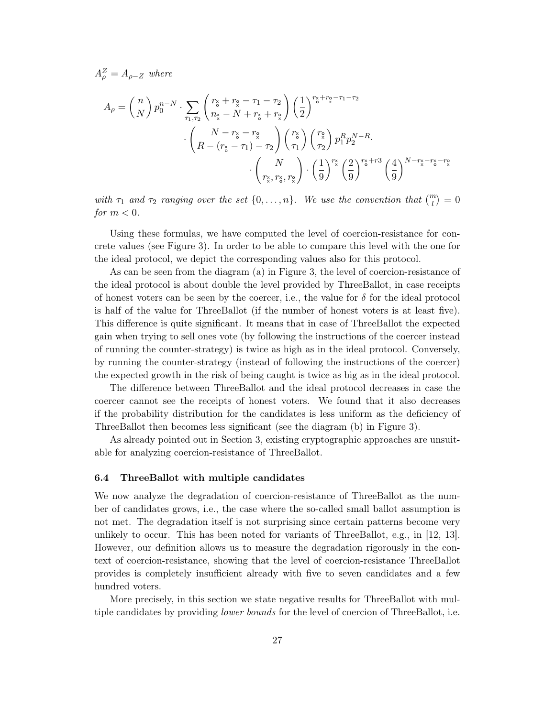$A_{\rho}^{Z} = A_{\rho-Z}$  where

$$
A_{\rho} = {n \choose N} p_{0}^{n-N} \cdot \sum_{\tau_{1},\tau_{2}} \left( \frac{r_{\delta} + r_{\delta} - \tau_{1} - \tau_{2}}{n_{\chi} - N + r_{\delta} + r_{\delta}} \right) \left( \frac{1}{2} \right)^{r_{\delta} + r_{\delta} - \tau_{1} - \tau_{2}} \cdot \left( \frac{N - r_{\delta} - r_{\delta}}{R - (r_{\delta} - \tau_{1}) - \tau_{2}} \right) {r_{\delta} \choose \tau_{1}} {r_{\delta} \choose \tau_{2}} p_{1}^{R} p_{2}^{N-R} \cdot \left( \frac{N}{r_{\chi}, r_{\delta}, r_{\chi}} \right) \cdot \left( \frac{1}{9} \right)^{r_{\chi}} \left( \frac{2}{9} \right)^{r_{\delta} + r_{3}} \left( \frac{4}{9} \right)^{N - r_{\chi} - r_{\delta} - r_{\chi}}
$$

with  $\tau_1$  and  $\tau_2$  ranging over the set  $\{0, \ldots, n\}$ . We use the convention that  $\binom{m}{l} = 0$ for  $m < 0$ .

Using these formulas, we have computed the level of coercion-resistance for concrete values (see Figure 3). In order to be able to compare this level with the one for the ideal protocol, we depict the corresponding values also for this protocol.

As can be seen from the diagram (a) in Figure 3, the level of coercion-resistance of the ideal protocol is about double the level provided by ThreeBallot, in case receipts of honest voters can be seen by the coercer, i.e., the value for  $\delta$  for the ideal protocol is half of the value for ThreeBallot (if the number of honest voters is at least five). This difference is quite significant. It means that in case of ThreeBallot the expected gain when trying to sell ones vote (by following the instructions of the coercer instead of running the counter-strategy) is twice as high as in the ideal protocol. Conversely, by running the counter-strategy (instead of following the instructions of the coercer) the expected growth in the risk of being caught is twice as big as in the ideal protocol.

The difference between ThreeBallot and the ideal protocol decreases in case the coercer cannot see the receipts of honest voters. We found that it also decreases if the probability distribution for the candidates is less uniform as the deficiency of ThreeBallot then becomes less significant (see the diagram (b) in Figure 3).

As already pointed out in Section 3, existing cryptographic approaches are unsuitable for analyzing coercion-resistance of ThreeBallot.

#### 6.4 ThreeBallot with multiple candidates

We now analyze the degradation of coercion-resistance of ThreeBallot as the number of candidates grows, i.e., the case where the so-called small ballot assumption is not met. The degradation itself is not surprising since certain patterns become very unlikely to occur. This has been noted for variants of ThreeBallot, e.g., in [12, 13]. However, our definition allows us to measure the degradation rigorously in the context of coercion-resistance, showing that the level of coercion-resistance ThreeBallot provides is completely insufficient already with five to seven candidates and a few hundred voters.

More precisely, in this section we state negative results for ThreeBallot with multiple candidates by providing *lower bounds* for the level of coercion of ThreeBallot, i.e.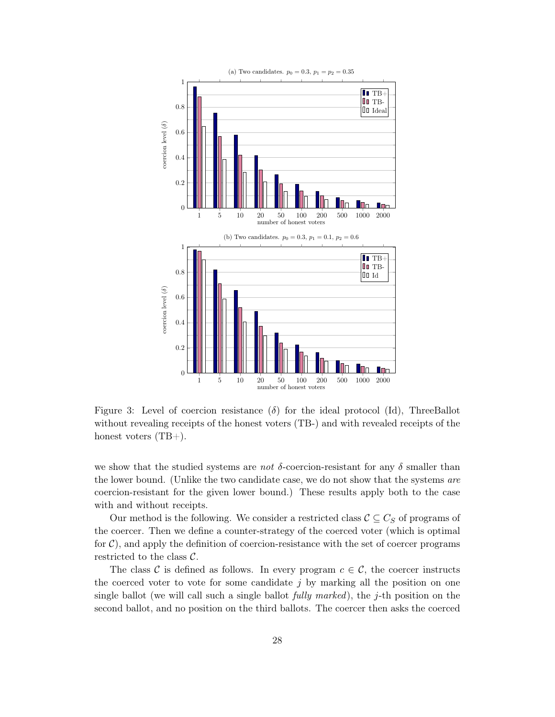

Figure 3: Level of coercion resistance  $(\delta)$  for the ideal protocol (Id), ThreeBallot without revealing receipts of the honest voters (TB-) and with revealed receipts of the honest voters  $(TB+)$ .

we show that the studied systems are *not*  $\delta$ -coercion-resistant for any  $\delta$  smaller than the lower bound. (Unlike the two candidate case, we do not show that the systems are coercion-resistant for the given lower bound.) These results apply both to the case with and without receipts.

Our method is the following. We consider a restricted class  $C \subseteq C_S$  of programs of the coercer. Then we define a counter-strategy of the coerced voter (which is optimal for  $\mathcal{C}$ ), and apply the definition of coercion-resistance with the set of coercer programs restricted to the class  $C$ .

The class C is defined as follows. In every program  $c \in \mathcal{C}$ , the coercer instructs the coerced voter to vote for some candidate  $j$  by marking all the position on one single ballot (we will call such a single ballot *fully marked*), the j-th position on the second ballot, and no position on the third ballots. The coercer then asks the coerced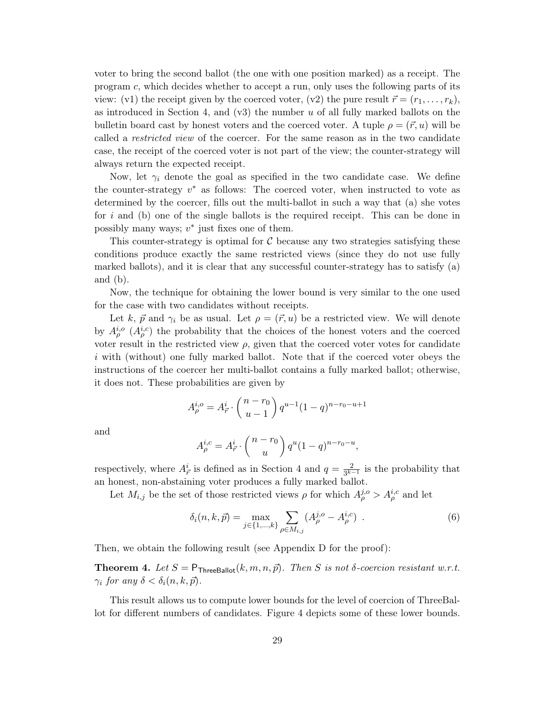voter to bring the second ballot (the one with one position marked) as a receipt. The program c, which decides whether to accept a run, only uses the following parts of its view: (v1) the receipt given by the coerced voter, (v2) the pure result  $\vec{r} = (r_1, \ldots, r_k)$ , as introduced in Section 4, and  $(v3)$  the number u of all fully marked ballots on the bullet the board cast by honest voters and the coerced voter. A tuple  $\rho = (\vec{r}, u)$  will be called a *restricted view* of the coercer. For the same reason as in the two candidate case, the receipt of the coerced voter is not part of the view; the counter-strategy will always return the expected receipt.

Now, let  $\gamma_i$  denote the goal as specified in the two candidate case. We define the counter-strategy  $v^*$  as follows: The coerced voter, when instructed to vote as determined by the coercer, fills out the multi-ballot in such a way that (a) she votes for i and (b) one of the single ballots is the required receipt. This can be done in possibly many ways;  $v^*$  just fixes one of them.

This counter-strategy is optimal for  $C$  because any two strategies satisfying these conditions produce exactly the same restricted views (since they do not use fully marked ballots), and it is clear that any successful counter-strategy has to satisfy (a) and (b).

Now, the technique for obtaining the lower bound is very similar to the one used for the case with two candidates without receipts.

Let k,  $\vec{p}$  and  $\gamma_i$  be as usual. Let  $\rho = (\vec{r}, u)$  be a restricted view. We will denote by  $A^{i,o}_{\rho}$  ( $A^{i,c}_{\rho}$ ) the probability that the choices of the honest voters and the coerced voter result in the restricted view  $\rho$ , given that the coerced voter votes for candidate i with (without) one fully marked ballot. Note that if the coerced voter obeys the instructions of the coercer her multi-ballot contains a fully marked ballot; otherwise, it does not. These probabilities are given by

$$
A_{\rho}^{i,o} = A_{\vec{r}}^i \cdot \binom{n-r_0}{u-1} q^{u-1} (1-q)^{n-r_0-u+1}
$$

and

$$
A^{i,c}_{\rho} = A^{i}_{\vec{r}} \cdot \binom{n-r_0}{u} q^u (1-q)^{n-r_0-u},
$$

respectively, where  $A^i_{\vec{r}}$  is defined as in Section 4 and  $q = \frac{2}{3^{k}}$  $\frac{2}{3^{k-1}}$  is the probability that an honest, non-abstaining voter produces a fully marked ballot.

Let  $M_{i,j}$  be the set of those restricted views  $\rho$  for which  $A_{\rho}^{j,o} > A_{\rho}^{i,c}$  and let

$$
\delta_i(n,k,\vec{p}) = \max_{j \in \{1,\dots,k\}} \sum_{\rho \in M_{i,j}} (A^{j,o}_{\rho} - A^{i,c}_{\rho}) \quad . \tag{6}
$$

Then, we obtain the following result (see Appendix D for the proof):

**Theorem 4.** Let  $S = P_{\text{ThreeBallot}}(k, m, n, \vec{p})$ . Then S is not  $\delta$ -coercion resistant w.r.t.  $\gamma_i$  for any  $\delta < \delta_i(n, k, \vec{p}).$ 

This result allows us to compute lower bounds for the level of coercion of ThreeBallot for different numbers of candidates. Figure 4 depicts some of these lower bounds.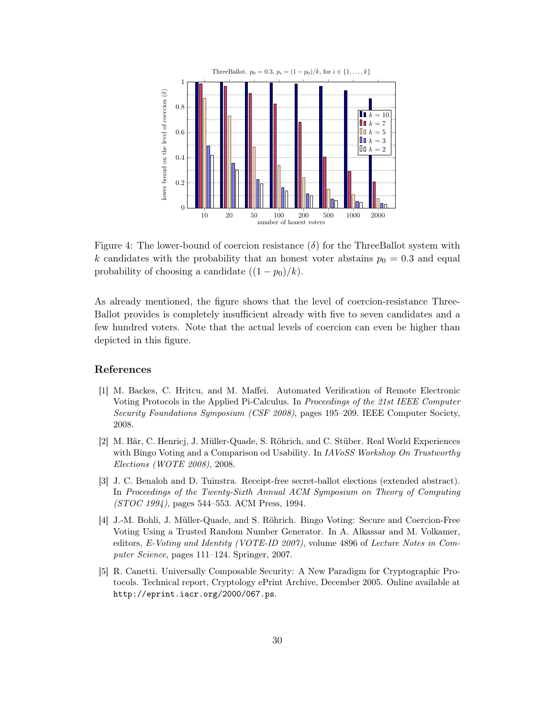

Figure 4: The lower-bound of coercion resistance  $(\delta)$  for the ThreeBallot system with k candidates with the probability that an honest voter abstains  $p_0 = 0.3$  and equal probability of choosing a candidate  $((1 - p_0)/k)$ .

As already mentioned, the figure shows that the level of coercion-resistance Three-Ballot provides is completely insufficient already with five to seven candidates and a few hundred voters. Note that the actual levels of coercion can even be higher than depicted in this figure.

## References

- [1] M. Backes, C. Hritcu, and M. Maffei. Automated Verification of Remote Electronic Voting Protocols in the Applied Pi-Calculus. In Proceedings of the 21st IEEE Computer Security Foundations Symposium (CSF 2008), pages 195–209. IEEE Computer Society, 2008.
- [2] M. Bär, C. Henricj, J. Müller-Quade, S. Röhrich, and C. Stüber. Real World Experiences with Bingo Voting and a Comparison od Usability. In IAVoSS Workshop On Trustworthy Elections (WOTE 2008), 2008.
- [3] J. C. Benaloh and D. Tuinstra. Receipt-free secret-ballot elections (extended abstract). In Proceedings of the Twenty-Sixth Annual ACM Symposium on Theory of Computing (STOC 1994), pages 544–553. ACM Press, 1994.
- [4] J.-M. Bohli, J. Müller-Quade, and S. Röhrich. Bingo Voting: Secure and Coercion-Free Voting Using a Trusted Random Number Generator. In A. Alkassar and M. Volkamer, editors, E-Voting and Identity (VOTE-ID 2007), volume 4896 of Lecture Notes in Computer Science, pages 111–124. Springer, 2007.
- [5] R. Canetti. Universally Composable Security: A New Paradigm for Cryptographic Protocols. Technical report, Cryptology ePrint Archive, December 2005. Online available at http://eprint.iacr.org/2000/067.ps.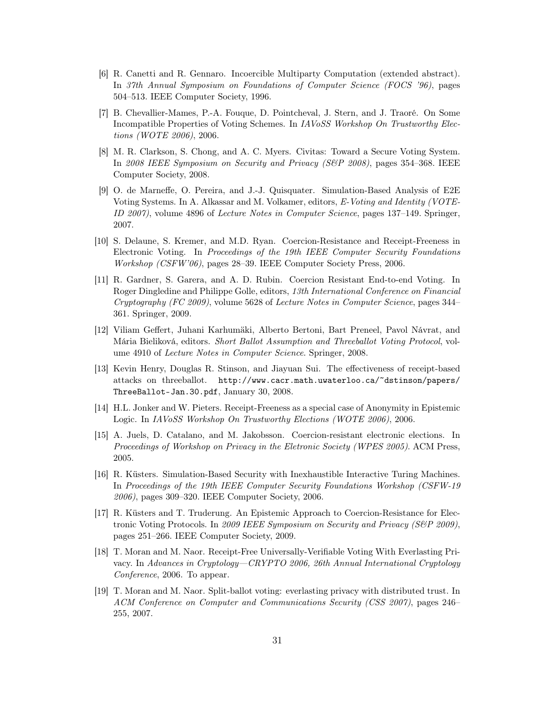- [6] R. Canetti and R. Gennaro. Incoercible Multiparty Computation (extended abstract). In 37th Annual Symposium on Foundations of Computer Science (FOCS '96), pages 504–513. IEEE Computer Society, 1996.
- [7] B. Chevallier-Mames, P.-A. Fouque, D. Pointcheval, J. Stern, and J. Traoré. On Some Incompatible Properties of Voting Schemes. In IAVoSS Workshop On Trustworthy Elections (WOTE 2006), 2006.
- [8] M. R. Clarkson, S. Chong, and A. C. Myers. Civitas: Toward a Secure Voting System. In 2008 IEEE Symposium on Security and Privacy (S&P 2008), pages 354–368. IEEE Computer Society, 2008.
- [9] O. de Marneffe, O. Pereira, and J.-J. Quisquater. Simulation-Based Analysis of E2E Voting Systems. In A. Alkassar and M. Volkamer, editors, E-Voting and Identity (VOTE-ID 2007), volume 4896 of Lecture Notes in Computer Science, pages 137–149. Springer, 2007.
- [10] S. Delaune, S. Kremer, and M.D. Ryan. Coercion-Resistance and Receipt-Freeness in Electronic Voting. In Proceedings of the 19th IEEE Computer Security Foundations Workshop (CSFW'06), pages 28–39. IEEE Computer Society Press, 2006.
- [11] R. Gardner, S. Garera, and A. D. Rubin. Coercion Resistant End-to-end Voting. In Roger Dingledine and Philippe Golle, editors, 13th International Conference on Financial Cryptography (FC 2009), volume 5628 of Lecture Notes in Computer Science, pages 344– 361. Springer, 2009.
- [12] Viliam Geffert, Juhani Karhumäki, Alberto Bertoni, Bart Preneel, Pavol Návrat, and Mária Bieliková, editors. Short Ballot Assumption and Threeballot Voting Protocol, volume 4910 of Lecture Notes in Computer Science. Springer, 2008.
- [13] Kevin Henry, Douglas R. Stinson, and Jiayuan Sui. The effectiveness of receipt-based attacks on threeballot. http://www.cacr.math.uwaterloo.ca/~dstinson/papers/ ThreeBallot-Jan.30.pdf, January 30, 2008.
- [14] H.L. Jonker and W. Pieters. Receipt-Freeness as a special case of Anonymity in Epistemic Logic. In IAVoSS Workshop On Trustworthy Elections (WOTE 2006), 2006.
- [15] A. Juels, D. Catalano, and M. Jakobsson. Coercion-resistant electronic elections. In Proceedings of Workshop on Privacy in the Eletronic Society (WPES 2005). ACM Press, 2005.
- [16] R. Küsters. Simulation-Based Security with Inexhaustible Interactive Turing Machines. In Proceedings of the 19th IEEE Computer Security Foundations Workshop (CSFW-19 2006), pages 309–320. IEEE Computer Society, 2006.
- [17] R. Küsters and T. Truderung. An Epistemic Approach to Coercion-Resistance for Electronic Voting Protocols. In 2009 IEEE Symposium on Security and Privacy (S&P 2009), pages 251–266. IEEE Computer Society, 2009.
- [18] T. Moran and M. Naor. Receipt-Free Universally-Verifiable Voting With Everlasting Privacy. In Advances in Cryptology—CRYPTO 2006, 26th Annual International Cryptology Conference, 2006. To appear.
- [19] T. Moran and M. Naor. Split-ballot voting: everlasting privacy with distributed trust. In ACM Conference on Computer and Communications Security (CSS 2007), pages 246– 255, 2007.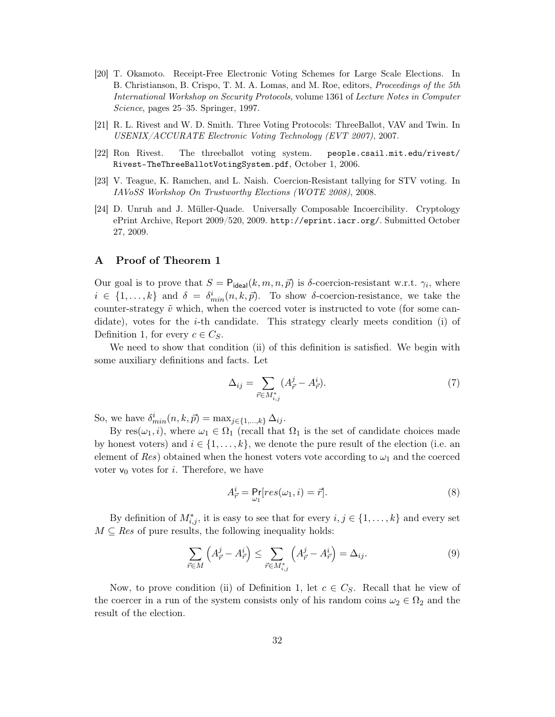- [20] T. Okamoto. Receipt-Free Electronic Voting Schemes for Large Scale Elections. In B. Christianson, B. Crispo, T. M. A. Lomas, and M. Roe, editors, Proceedings of the 5th International Workshop on Security Protocols, volume 1361 of Lecture Notes in Computer Science, pages 25–35. Springer, 1997.
- [21] R. L. Rivest and W. D. Smith. Three Voting Protocols: ThreeBallot, VAV and Twin. In USENIX/ACCURATE Electronic Voting Technology (EVT 2007), 2007.
- [22] Ron Rivest. The threeballot voting system. people.csail.mit.edu/rivest/ Rivest-TheThreeBallotVotingSystem.pdf, October 1, 2006.
- [23] V. Teague, K. Ramchen, and L. Naish. Coercion-Resistant tallying for STV voting. In IAVoSS Workshop On Trustworthy Elections (WOTE 2008), 2008.
- [24] D. Unruh and J. Müller-Quade. Universally Composable Incoercibility. Cryptology ePrint Archive, Report 2009/520, 2009. http://eprint.iacr.org/. Submitted October 27, 2009.

## A Proof of Theorem 1

Our goal is to prove that  $S = \mathsf{P}_{\mathsf{ideal}}(k, m, n, \vec{p})$  is  $\delta$ -coercion-resistant w.r.t.  $\gamma_i$ , where  $i \in \{1, ..., k\}$  and  $\delta = \delta_{min}^i(n, k, \vec{p})$ . To show  $\delta$ -coercion-resistance, we take the counter-strategy  $\tilde{v}$  which, when the coerced voter is instructed to vote (for some candidate), votes for the *i*-th candidate. This strategy clearly meets condition (i) of Definition 1, for every  $c \in C_S$ .

We need to show that condition (ii) of this definition is satisfied. We begin with some auxiliary definitions and facts. Let

$$
\Delta_{ij} = \sum_{\vec{r} \in M^*_{i,j}} (A^j_{\vec{r}} - A^i_{\vec{r}}). \tag{7}
$$

So, we have  $\delta^i_{min}(n, k, \vec{p}) = \max_{j \in \{1, ..., k\}} \Delta_{ij}$ .

By res $(\omega_1, i)$ , where  $\omega_1 \in \Omega_1$  (recall that  $\Omega_1$  is the set of candidate choices made by honest voters) and  $i \in \{1, \ldots, k\}$ , we denote the pure result of the election (i.e. an element of  $Res$ ) obtained when the honest voters vote according to  $\omega_1$  and the coerced voter  $v_0$  votes for i. Therefore, we have

$$
A^i_{\vec{r}} = \Pr_{\omega_1}[res(\omega_1, i) = \vec{r}]. \tag{8}
$$

By definition of  $M^*_{i,j}$ , it is easy to see that for every  $i, j \in \{1, ..., k\}$  and every set  $M \subseteq Res$  of pure results, the following inequality holds:

$$
\sum_{\vec{r}\in M} \left( A_{\vec{r}}^j - A_{\vec{r}}^i \right) \le \sum_{\vec{r}\in M_{i,j}^*} \left( A_{\vec{r}}^j - A_{\vec{r}}^i \right) = \Delta_{ij}.
$$
\n(9)

Now, to prove condition (ii) of Definition 1, let  $c \in C_S$ . Recall that he view of the coercer in a run of the system consists only of his random coins  $\omega_2 \in \Omega_2$  and the result of the election.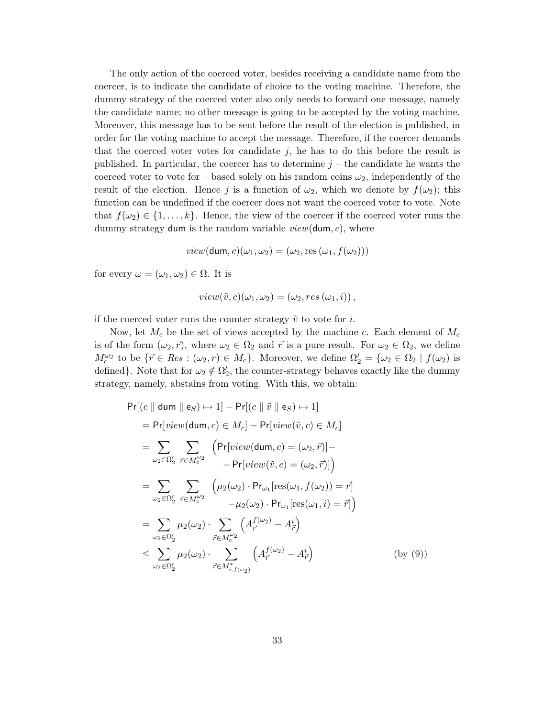The only action of the coerced voter, besides receiving a candidate name from the coercer, is to indicate the candidate of choice to the voting machine. Therefore, the dummy strategy of the coerced voter also only needs to forward one message, namely the candidate name; no other message is going to be accepted by the voting machine. Moreover, this message has to be sent before the result of the election is published, in order for the voting machine to accept the message. Therefore, if the coercer demands that the coerced voter votes for candidate  $j$ , he has to do this before the result is published. In particular, the coercer has to determine  $j$  – the candidate he wants the coerced voter to vote for – based solely on his random coins  $\omega_2$ , independently of the result of the election. Hence j is a function of  $\omega_2$ , which we denote by  $f(\omega_2)$ ; this function can be undefined if the coercer does not want the coerced voter to vote. Note that  $f(\omega_2) \in \{1, \ldots, k\}$ . Hence, the view of the coercer if the coerced voter runs the dummy strategy dum is the random variable  $view(\text{dum}, c)$ , where

$$
view(\text{dum}, c)(\omega_1, \omega_2) = (\omega_2, \text{res}(\omega_1, f(\omega_2)))
$$

for every  $\omega = (\omega_1, \omega_2) \in \Omega$ . It is

$$
view(\tilde{v}, c)(\omega_1, \omega_2) = (\omega_2, res(\omega_1, i)),
$$

if the coerced voter runs the counter-strategy  $\tilde{v}$  to vote for i.

Now, let  $M_c$  be the set of views accepted by the machine c. Each element of  $M_c$ is of the form  $(\omega_2, \vec{r})$ , where  $\omega_2 \in \Omega_2$  and  $\vec{r}$  is a pure result. For  $\omega_2 \in \Omega_2$ , we define  $M_c^{\omega_2}$  to be  $\{\vec{r} \in Res : (\omega_2, r) \in M_c\}$ . Moreover, we define  $\Omega'_2 = {\omega_2 \in \Omega_2 \mid f(\omega_2)}$  is defined}. Note that for  $\omega_2 \notin \Omega'_2$ , the counter-strategy behaves exactly like the dummy strategy, namely, abstains from voting. With this, we obtain:

$$
Pr[(c \parallel \text{dum} \parallel e_S) \mapsto 1] - Pr[(c \parallel \tilde{v} \parallel e_S) \mapsto 1]
$$
  
\n
$$
= Pr[view(\text{dum}, c) \in M_c] - Pr[view(\tilde{v}, c) \in M_c]
$$
  
\n
$$
= \sum_{\omega_2 \in \Omega'_2} \sum_{\vec{r} \in M_c^{\omega_2}} (Pr[view(\text{dum}, c) = (\omega_2, \vec{r})] - Pr[view(\tilde{v}, c) = (\omega_2, \vec{r})])
$$
  
\n
$$
= \sum_{\omega_2 \in \Omega'_2} \sum_{\vec{r} \in M_c^{\omega_2}} (\mu_2(\omega_2) \cdot Pr_{\omega_1}[res(\omega_1, f(\omega_2)) = \vec{r}]
$$
  
\n
$$
= \sum_{\omega_2 \in \Omega'_2} \mu_2(\omega_2) \cdot \sum_{\vec{r} \in M_c^{\omega_2}} (A_{\vec{r}}^{f(\omega_2)} - A_{\vec{r}}^i)
$$
  
\n
$$
\leq \sum_{\omega_2 \in \Omega'_2} \mu_2(\omega_2) \cdot \sum_{\vec{r} \in M_{i,f(\omega_2)}^*} (A_{\vec{r}}^{f(\omega_2)} - A_{\vec{r}}^i)
$$
(by (9))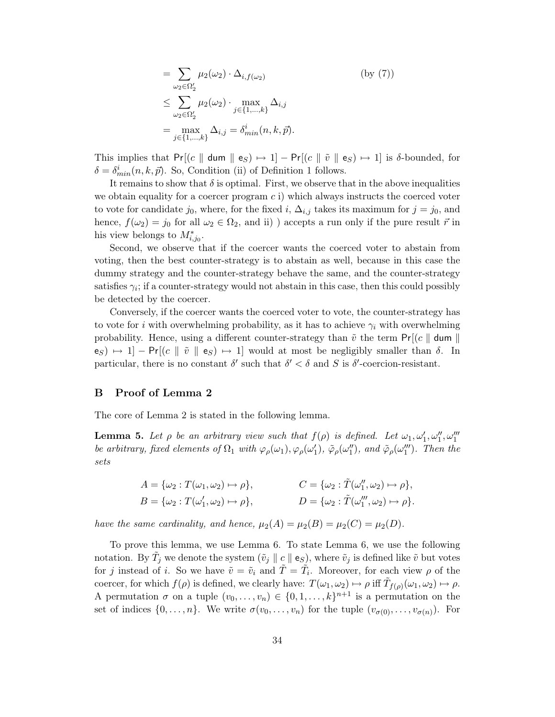$$
= \sum_{\omega_2 \in \Omega'_2} \mu_2(\omega_2) \cdot \Delta_{i,f(\omega_2)}
$$
 (by (7))  

$$
\leq \sum_{\omega_2 \in \Omega'_2} \mu_2(\omega_2) \cdot \max_{j \in \{1,\dots,k\}} \Delta_{i,j}
$$
  

$$
= \max_{j \in \{1,\dots,k\}} \Delta_{i,j} = \delta_{min}^i(n,k,\vec{p}).
$$

This implies that  $Pr[(c \parallel \text{dum} \parallel \text{e}_S) \rightarrow 1] - Pr[(c \parallel \tilde{v} \parallel \text{e}_S) \rightarrow 1]$  is  $\delta$ -bounded, for  $\delta = \delta_{min}^i(n, k, \vec{p})$ . So, Condition (ii) of Definition 1 follows.

It remains to show that  $\delta$  is optimal. First, we observe that in the above inequalities we obtain equality for a coercer program  $c$  i) which always instructs the coerced voter to vote for candidate  $j_0$ , where, for the fixed i,  $\Delta_{i,j}$  takes its maximum for  $j = j_0$ , and hence,  $f(\omega_2) = j_0$  for all  $\omega_2 \in \Omega_2$ , and ii) accepts a run only if the pure result  $\vec{r}$  in his view belongs to  $M^*_{i,j_0}$ .

Second, we observe that if the coercer wants the coerced voter to abstain from voting, then the best counter-strategy is to abstain as well, because in this case the dummy strategy and the counter-strategy behave the same, and the counter-strategy satisfies  $\gamma_i$ ; if a counter-strategy would not abstain in this case, then this could possibly be detected by the coercer.

Conversely, if the coercer wants the coerced voter to vote, the counter-strategy has to vote for i with overwhelming probability, as it has to achieve  $\gamma_i$  with overwhelming probability. Hence, using a different counter-strategy than  $\tilde{v}$  the term Pr[(c || dum ||  $\epsilon_S$ )  $\mapsto$  1] – Pr[(c  $\parallel \tilde{v} \parallel \epsilon_S$ )  $\mapsto$  1] would at most be negligibly smaller than  $\delta$ . In particular, there is no constant  $\delta'$  such that  $\delta' < \delta$  and S is  $\delta'$ -coercion-resistant.

# B Proof of Lemma 2

The core of Lemma 2 is stated in the following lemma.

**Lemma 5.** Let  $\rho$  be an arbitrary view such that  $f(\rho)$  is defined. Let  $\omega_1, \omega_1', \omega_1'', \omega_1'''$ be arbitrary, fixed elements of  $\Omega_1$  with  $\varphi_{\rho}(\omega_1), \varphi_{\rho}(\omega_1'), \tilde{\varphi}_{\rho}(\omega_1'')$ , and  $\tilde{\varphi}_{\rho}(\omega_1'')$ . Then the sets

$$
A = \{\omega_2 : T(\omega_1, \omega_2) \mapsto \rho\},
$$
  
\n
$$
C = \{\omega_2 : \tilde{T}(\omega_1'', \omega_2) \mapsto \rho\},
$$
  
\n
$$
D = \{\omega_2 : \tilde{T}(\omega_1'', \omega_2) \mapsto \rho\}.
$$
  
\n
$$
D = \{\omega_2 : \tilde{T}(\omega_1'', \omega_2) \mapsto \rho\}.
$$

have the same cardinality, and hence,  $\mu_2(A) = \mu_2(B) = \mu_2(C) = \mu_2(D)$ .

To prove this lemma, we use Lemma 6. To state Lemma 6, we use the following notation. By  $\tilde{T}_j$  we denote the system  $(\tilde{v}_j \parallel c \parallel \mathsf{e}_S)$ , where  $\tilde{v}_j$  is defined like  $\tilde{v}$  but votes for j instead of i. So we have  $\tilde{v} = \tilde{v}_i$  and  $\tilde{T} = \tilde{T}_i$ . Moreover, for each view  $\rho$  of the coercer, for which  $f(\rho)$  is defined, we clearly have:  $T(\omega_1, \omega_2) \mapsto \rho$  iff  $\tilde{T}_{f(\rho)}(\omega_1, \omega_2) \mapsto \rho$ . A permutation  $\sigma$  on a tuple  $(v_0, \ldots, v_n) \in \{0, 1, \ldots, k\}^{n+1}$  is a permutation on the set of indices  $\{0,\ldots,n\}$ . We write  $\sigma(v_0,\ldots,v_n)$  for the tuple  $(v_{\sigma(0)},\ldots,v_{\sigma(n)})$ . For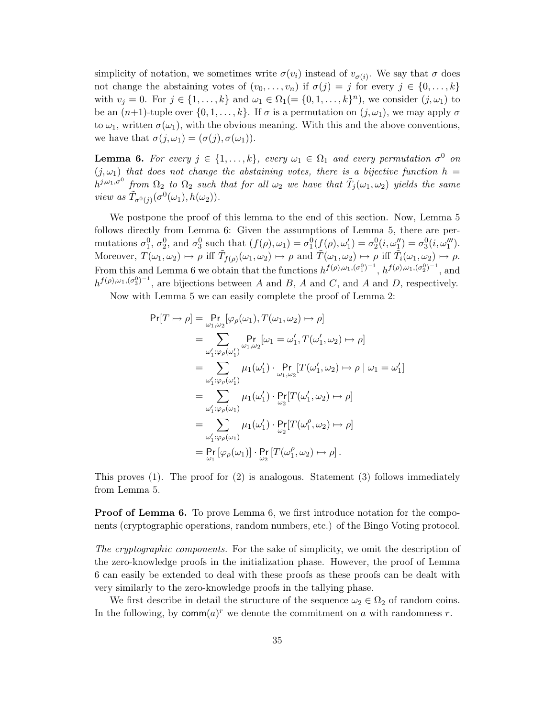simplicity of notation, we sometimes write  $\sigma(v_i)$  instead of  $v_{\sigma(i)}$ . We say that  $\sigma$  does not change the abstaining votes of  $(v_0, \ldots, v_n)$  if  $\sigma(j) = j$  for every  $j \in \{0, \ldots, k\}$ with  $v_j = 0$ . For  $j \in \{1, ..., k\}$  and  $\omega_1 \in \Omega_1( = \{0, 1, ..., k\}^n)$ , we consider  $(j, \omega_1)$  to be an  $(n+1)$ -tuple over  $\{0, 1, ..., k\}$ . If  $\sigma$  is a permutation on  $(j, \omega_1)$ , we may apply  $\sigma$ to  $\omega_1$ , written  $\sigma(\omega_1)$ , with the obvious meaning. With this and the above conventions, we have that  $\sigma(j, \omega_1) = (\sigma(j), \sigma(\omega_1)).$ 

**Lemma 6.** For every  $j \in \{1, ..., k\}$ , every  $\omega_1 \in \Omega_1$  and every permutation  $\sigma^0$  on  $(j, \omega_1)$  that does not change the abstaining votes, there is a bijective function h =  $h^{j,\omega_1,\sigma^0}$  from  $\Omega_2$  to  $\Omega_2$  such that for all  $\omega_2$  we have that  $\tilde{T}_j(\omega_1,\omega_2)$  yields the same view as  $\tilde{T}_{\sigma^0(j)}(\sigma^0(\omega_1), h(\omega_2)).$ 

We postpone the proof of this lemma to the end of this section. Now, Lemma 5 follows directly from Lemma 6: Given the assumptions of Lemma 5, there are permutations  $\sigma_1^0$ ,  $\sigma_2^0$ , and  $\sigma_3^0$  such that  $(f(\rho), \omega_1) = \sigma_1^0(f(\rho), \omega_1') = \sigma_2^0(i, \omega_1'') = \sigma_3^0(i, \omega_1''')$ . Moreover,  $T(\omega_1, \omega_2) \mapsto \rho$  iff  $\tilde{T}_{f(\rho)}(\omega_1, \omega_2) \mapsto \rho$  and  $\tilde{T}(\omega_1, \omega_2) \mapsto \rho$  iff  $\tilde{T}_i(\omega_1, \omega_2) \mapsto \rho$ . From this and Lemma 6 we obtain that the functions  $h^{f(\rho), \omega_1, (\sigma_1^0)^{-1}}$ ,  $h^{f(\rho), \omega_1, (\sigma_2^0)^{-1}}$ , and  $h^{f(\rho),\omega_1,(\sigma_3^0)^{-1}}$ , are bijections between A and B, A and C, and A and D, respectively.

Now with Lemma 5 we can easily complete the proof of Lemma 2:

$$
\Pr[T \mapsto \rho] = \Pr_{\omega_1, \omega_2} [\varphi_{\rho}(\omega_1), T(\omega_1, \omega_2) \mapsto \rho]
$$
  
\n
$$
= \sum_{\omega'_1 : \varphi_{\rho}(\omega'_1)} \Pr_{\omega_1, \omega_2} [\omega_1 = \omega'_1, T(\omega'_1, \omega_2) \mapsto \rho]
$$
  
\n
$$
= \sum_{\omega'_1 : \varphi_{\rho}(\omega'_1)} \mu_1(\omega'_1) \cdot \Pr_{\omega_1, \omega_2} [T(\omega'_1, \omega_2) \mapsto \rho \mid \omega_1 = \omega'_1]
$$
  
\n
$$
= \sum_{\omega'_1 : \varphi_{\rho}(\omega_1)} \mu_1(\omega'_1) \cdot \Pr_{\omega_2} [T(\omega'_1, \omega_2) \mapsto \rho]
$$
  
\n
$$
= \sum_{\omega'_1 : \varphi_{\rho}(\omega_1)} \mu_1(\omega'_1) \cdot \Pr_{\omega_2} [T(\omega'_1, \omega_2) \mapsto \rho]
$$
  
\n
$$
= \Pr_{\omega_1} [\varphi_{\rho}(\omega_1)] \cdot \Pr_{\omega_2} [T(\omega'_1, \omega_2) \mapsto \rho].
$$

This proves (1). The proof for (2) is analogous. Statement (3) follows immediately from Lemma 5.

**Proof of Lemma 6.** To prove Lemma 6, we first introduce notation for the components (cryptographic operations, random numbers, etc.) of the Bingo Voting protocol.

The cryptographic components. For the sake of simplicity, we omit the description of the zero-knowledge proofs in the initialization phase. However, the proof of Lemma 6 can easily be extended to deal with these proofs as these proofs can be dealt with very similarly to the zero-knowledge proofs in the tallying phase.

We first describe in detail the structure of the sequence  $\omega_2 \in \Omega_2$  of random coins. In the following, by  $\text{comm}(a)^r$  we denote the commitment on a with randomness r.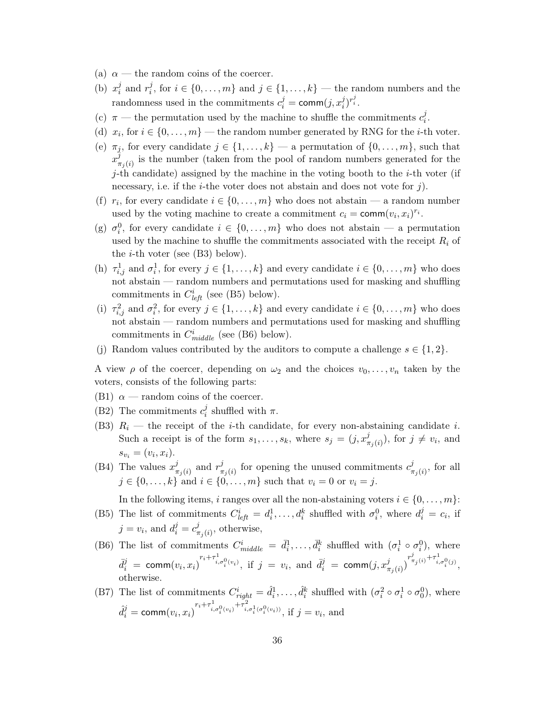- (a)  $\alpha$  the random coins of the coercer.
- (b)  $x_i^j$  $i$  and  $r_i^j$  $i<sub>i</sub>$ , for  $i \in \{0, ..., m\}$  and  $j \in \{1, ..., k\}$  — the random numbers and the randomness used in the commitments  $c_i^j = \text{comm}(j, x_i^j)^{r_i^j}$ .
- (c)  $\pi$  the permutation used by the machine to shuffle the commitments  $c_i^j$  $\frac{j}{i}$  .
- (d)  $x_i$ , for  $i \in \{0, \ldots, m\}$  the random number generated by RNG for the *i*-th voter.
- (e)  $\pi_j$ , for every candidate  $j \in \{1, ..., k\}$  a permutation of  $\{0, ..., m\}$ , such that  $\tilde{x^j_\pi}$  $\frac{\partial}{\partial \pi_j(i)}$  is the number (taken from the pool of random numbers generated for the j-th candidate) assigned by the machine in the voting booth to the  $i$ -th voter (if necessary, i.e. if the *i*-the voter does not abstain and does not vote for j.
- (f)  $r_i$ , for every candidate  $i \in \{0, ..., m\}$  who does not abstain a random number used by the voting machine to create a commitment  $c_i = \text{comm}(v_i, x_i)^{r_i}$ .
- (g)  $\sigma_i^0$ , for every candidate  $i \in \{0, ..., m\}$  who does not abstain a permutation used by the machine to shuffle the commitments associated with the receipt  $R_i$  of the  $i$ -th voter (see (B3) below).
- (h)  $\tau_{i,j}^1$  and  $\sigma_i^1$ , for every  $j \in \{1, ..., k\}$  and every candidate  $i \in \{0, ..., m\}$  who does not abstain — random numbers and permutations used for masking and shuffling commitments in  $C_{left}^{i}$  (see (B5) below).
- (i)  $\tau_{i,j}^2$  and  $\sigma_i^2$ , for every  $j \in \{1, ..., k\}$  and every candidate  $i \in \{0, ..., m\}$  who does not abstain — random numbers and permutations used for masking and shuffling commitments in  $C_{middle}^{i}$  (see (B6) below).
- (j) Random values contributed by the auditors to compute a challenge  $s \in \{1,2\}$ .

A view  $\rho$  of the coercer, depending on  $\omega_2$  and the choices  $v_0, \ldots, v_n$  taken by the voters, consists of the following parts:

- (B1)  $\alpha$  random coins of the coercer.
- (B2) The commitments  $c_i^j$ <sup>*j*</sup> shuffled with  $\pi$ .
- (B3)  $R_i$  the receipt of the *i*-th candidate, for every non-abstaining candidate *i*. Such a receipt is of the form  $s_1, \ldots, s_k$ , where  $s_j = (j, x^j_{\pi_j(i)})$ , for  $j \neq v_i$ , and  $s_{v_i} = (v_i, x_i).$
- (B4) The values  $x_x^j$  $\frac{j}{\pi_j(i)}$  and  $r_\pi^j$  $\frac{d}{d\pi_j(i)}$  for opening the unused commitments  $c^j_{\pi_j(i)}$  $_{\pi_j(i)}^j$ , for all  $j \in \{0, ..., k\}$  and  $i \in \{0, ..., m\}$  such that  $v_i = 0$  or  $v_i = j$ .

In the following items, i ranges over all the non-abstaining voters  $i \in \{0, \ldots, m\}$ :

- (B5) The list of commitments  $C_{left}^{i} = d_i^1, \ldots, d_i^k$  shuffled with  $\sigma_i^0$ , where  $d_i^j = c_i$ , if  $j = v_i$ , and  $d_i^j = c_{\pi}^j$  $_{\pi_j(i)}^j$ , otherwise,
- (B6) The list of commitments  $C_{middle}^i = \bar{d}_i^1, \ldots, \bar{d}_i^k$  shuffled with  $(\sigma_i^1 \circ \sigma_i^0)$ , where  $\bar{d}_i^j = \; \mathsf{comm}(v_i, x_i)^{r_i + \tau^1_{i, \sigma^0_i(v_i)}}, \; \text{if} \; \; j \; = \; v_i, \; \text{and} \; \; \bar{d}_i^j \; = \; \mathsf{comm}(j, x^j_{\pi_j(i)})^{r^j_{\pi_j(i)} + \tau^1_{i, \sigma^0_i(j)}},$ otherwise.
- (B7) The list of commitments  $C_{right}^i = \hat{d}_i^1, \dots, \hat{d}_i^k$  shuffled with  $(\sigma_i^2 \circ \sigma_i^1 \circ \sigma_0^0)$ , where  $\hat{d}_{i}^{j} = \text{comm}(v_{i}, x_{i})^{r_{i} + \tau_{i, \sigma_{i}^{0}(v_{i})}^{1} + \tau_{i, \sigma_{i}^{1}(\sigma_{i}^{0}(v_{i}))}^{2}}, \text{ if } j = v_{i}, \text{ and}$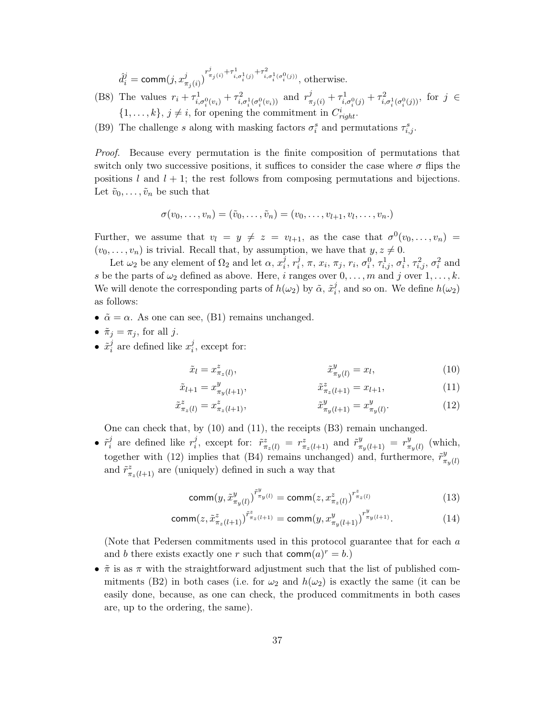$\hat{d}_i^j = \text{comm}(j, x^j_{\pi_j(i)} \right)^{r^j_{\pi_j(i)} + \tau^1_{i, \sigma^1_i(j)} + \tau^2_{i, \sigma^1_i(\sigma^0_i(j))}}, \text{ otherwise.}$ 

- (B8) The values  $r_i + \tau^1_{i,\sigma_i^0(v_i)} + \tau^2_{i,\sigma_i^1(\sigma_i^0(v_i))}$  and  $r^j_{\pi_j(i)} + \tau^1_{i,\sigma_i^0(j)} + \tau^2_{i,\sigma_i^1(\sigma_i^0(j))}$ , for  $j \in$  $\{1, \ldots, k\}, j \neq i$ , for opening the commitment in  $C_{right}^{i}$ .
- (B9) The challenge s along with masking factors  $\sigma_i^s$  and permutations  $\tau_{i,j}^s$ .

Proof. Because every permutation is the finite composition of permutations that switch only two successive positions, it suffices to consider the case where  $\sigma$  flips the positions  $l$  and  $l + 1$ ; the rest follows from composing permutations and bijections. Let  $\tilde{v}_0, \ldots, \tilde{v}_n$  be such that

$$
\sigma(v_0, \ldots, v_n) = (\tilde{v}_0, \ldots, \tilde{v}_n) = (v_0, \ldots, v_{l+1}, v_l, \ldots, v_n)
$$

Further, we assume that  $v_l = y \neq z = v_{l+1}$ , as the case that  $\sigma^0(v_0, \ldots, v_n)$  $(v_0, \ldots, v_n)$  is trivial. Recall that, by assumption, we have that  $y, z \neq 0$ .

Let  $\omega_2$  be any element of  $\Omega_2$  and let  $\alpha$ ,  $x_i^j$  $\frac{j}{i}, r_i^j$  $i, \pi, x_i, \pi_j, r_i, \sigma_i^0, \tau_{i,j}^1, \sigma_i^1, \tau_{i,j}^2, \sigma_i^2$  and s be the parts of  $\omega_2$  defined as above. Here, i ranges over  $0, \ldots, m$  and j over  $1, \ldots, k$ . We will denote the corresponding parts of  $h(\omega_2)$  by  $\tilde{\alpha}$ ,  $\tilde{x}_i^j$ <sup>*i*</sup>, and so on. We define  $h(\omega_2)$ as follows:

- $\tilde{\alpha} = \alpha$ . As one can see, (B1) remains unchanged.
- $\tilde{\pi}_j = \pi_j$ , for all j.
- $\bullet$   $\tilde{x}_i^j$  $i\atop i$  are defined like  $x_i^j$  $i<sub>i</sub>$ , except for:

$$
\tilde{x}_l = x^z_{\pi_z(l)}, \qquad \qquad \tilde{x}^y_{\pi_y(l)} = x_l, \qquad (10)
$$

$$
\tilde{x}_{l+1} = x_{\pi_y(l+1)}^y, \qquad \qquad \tilde{x}_{\pi_z(l+1)}^z = x_{l+1}, \qquad (11)
$$

$$
\tilde{x}^z_{\pi_z(l)} = x^z_{\pi_z(l+1)}, \qquad \qquad \tilde{x}^y_{\pi_y(l+1)} = x^y_{\pi_y(l)}.\tag{12}
$$

One can check that, by (10) and (11), the receipts (B3) remain unchanged.

 $\bullet$   $\tilde{r}^j_i$  $i$  are defined like  $r_i^j$  $\tilde{p}_i^j$ , except for:  $\tilde{r}_{\pi_z(l)}^z = r_{\pi_z(l+1)}^z$  and  $\tilde{r}_{\pi_y(l+1)}^y = r_{\pi_z(l)}^y$  $_{\pi_y(l)}^y$  (which, together with (12) implies that (B4) remains unchanged) and, furthermore,  $\tilde{r}_{\pi}^y$  $\pi_y(l)$ and  $\tilde{r}^z_{\pi_z(l+1)}$  are (uniquely) defined in such a way that

$$
\text{comm}(y, \tilde{x}_{\pi_y(l)}^y)^{\tilde{r}_{\pi_y(l)}} = \text{comm}(z, x_{\pi_z(l)}^z)^{r_{\pi_z(l)}^z}
$$
\n(13)

$$
\operatorname{comm}(z, \tilde{x}^z_{\pi_z(l+1)})^{\tilde{r}^z_{\pi_z(l+1)}} = \operatorname{comm}(y, x^y_{\pi_y(l+1)})^{r^y_{\pi_y(l+1)}}.
$$
\n(14)

(Note that Pedersen commitments used in this protocol guarantee that for each a and b there exists exactly one r such that  $\text{comm}(a)^r = b$ .)

•  $\tilde{\pi}$  is as  $\pi$  with the straightforward adjustment such that the list of published commitments (B2) in both cases (i.e. for  $\omega_2$  and  $h(\omega_2)$  is exactly the same (it can be easily done, because, as one can check, the produced commitments in both cases are, up to the ordering, the same).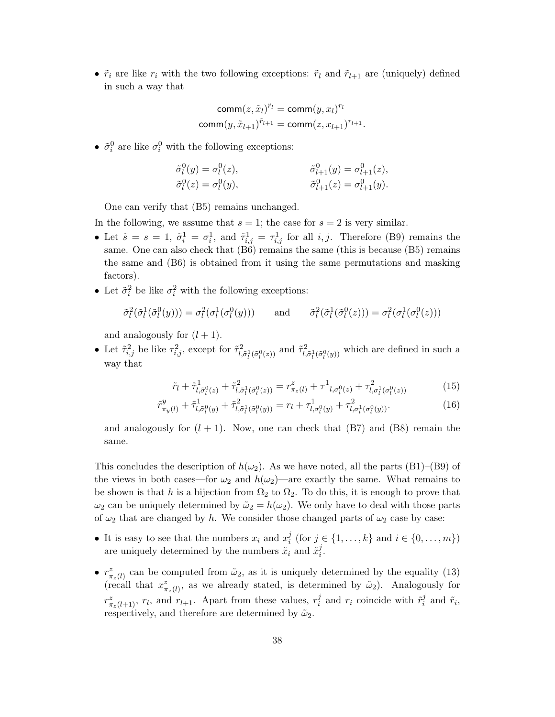•  $\tilde{r}_i$  are like  $r_i$  with the two following exceptions:  $\tilde{r}_l$  and  $\tilde{r}_{l+1}$  are (uniquely) defined in such a way that

$$
\operatorname{comm}(z, \tilde{x}_l)^{\tilde{r}_l} = \operatorname{comm}(y, x_l)^{r_l}
$$

$$
\operatorname{comm}(y, \tilde{x}_{l+1})^{\tilde{r}_{l+1}} = \operatorname{comm}(z, x_{l+1})^{r_{l+1}}
$$

.

•  $\tilde{\sigma}_i^0$  are like  $\sigma_i^0$  with the following exceptions:

$$
\tilde{\sigma}_l^0(y) = \sigma_l^0(z), \qquad \tilde{\sigma}_{l+1}^0(y) = \sigma_{l+1}^0(z), \n\tilde{\sigma}_l^0(z) = \sigma_l^0(y), \qquad \tilde{\sigma}_{l+1}^0(z) = \sigma_{l+1}^0(y).
$$

One can verify that (B5) remains unchanged.

In the following, we assume that  $s = 1$ ; the case for  $s = 2$  is very similar.

- Let  $\tilde{s} = s = 1$ ,  $\tilde{\sigma}_i^1 = \sigma_i^1$ , and  $\tilde{\tau}_{i,j}^1 = \tau_{i,j}^1$  for all  $i, j$ . Therefore (B9) remains the same. One can also check that (B6) remains the same (this is because (B5) remains the same and (B6) is obtained from it using the same permutations and masking factors).
- Let  $\tilde{\sigma}_i^2$  be like  $\sigma_i^2$  with the following exceptions:

$$
\tilde{\sigma}_l^2(\tilde{\sigma}_l^1(\tilde{\sigma}_l^0(y))) = \sigma_l^2(\sigma_l^1(\sigma_l^0(y))) \quad \text{and} \quad \tilde{\sigma}_l^2(\tilde{\sigma}_l^1(\tilde{\sigma}_l^0(z))) = \sigma_l^2(\sigma_l^1(\sigma_l^0(z)))
$$

and analogously for  $(l + 1)$ .

• Let  $\tilde{\tau}_{i,j}^2$  be like  $\tau_{i,j}^2$ , except for  $\tilde{\tau}_{l,j}^2$  $\lim_{l,\tilde{\sigma}_l^1(\tilde{\sigma}_l^0(z))}$  and  $\tilde{\tau}_{l,\tilde{\sigma}_l^1(\tilde{\sigma}_l^1(z))}$  $\int_{l,\tilde{\sigma}_{l}^{1}(\tilde{\sigma}_{l}^{0}(y))}$  which are defined in such a way that

$$
\tilde{r}_l + \tilde{\tau}_{l,\tilde{\sigma}_l^0(z)}^1 + \tilde{\tau}_{l,\tilde{\sigma}_l^1(\tilde{\sigma}_l^0(z))}^2 = r_{\pi_z(l)}^z + \tau_{l,\sigma_l^0(z)}^1 + \tau_{l,\sigma_l^1(\sigma_l^0(z))}^2 \tag{15}
$$

$$
\tilde{r}^y_{\pi_y(l)} + \tilde{\tau}^1_{l, \tilde{\sigma}^0_l(y)} + \tilde{\tau}^2_{l, \tilde{\sigma}^1_l(\tilde{\sigma}^0_l(y))} = r_l + \tau^1_{l, \sigma^0_l(y)} + \tau^2_{l, \sigma^1_l(\sigma^0_l(y))}.
$$
\n(16)

and analogously for  $(l + 1)$ . Now, one can check that (B7) and (B8) remain the same.

This concludes the description of  $h(\omega_2)$ . As we have noted, all the parts (B1)–(B9) of the views in both cases—for  $\omega_2$  and  $h(\omega_2)$ —are exactly the same. What remains to be shown is that h is a bijection from  $\Omega_2$  to  $\Omega_2$ . To do this, it is enough to prove that  $\omega_2$  can be uniquely determined by  $\tilde{\omega}_2 = h(\omega_2)$ . We only have to deal with those parts of  $\omega_2$  that are changed by h. We consider those changed parts of  $\omega_2$  case by case:

- It is easy to see that the numbers  $x_i$  and  $x_i^j$  $i_i^j$  (for  $j \in \{1, ..., k\}$  and  $i \in \{0, ..., m\}$ ) are uniquely determined by the numbers  $\tilde{x}_i$  and  $\tilde{x}_i^j$  $\frac{j}{i}$ .
- $r_{\pi_z(l)}^z$  can be computed from  $\tilde{\omega}_2$ , as it is uniquely determined by the equality (13) (recall that  $x^z_{\pi_z(l)}$ , as we already stated, is determined by  $\tilde{\omega}_2$ ). Analogously for  $r^z_{\pi_z(l+1)}, r_l$ , and  $r_{l+1}$ . Apart from these values,  $r_i^j$  $i$  and  $r_i$  coincide with  $\tilde{r}_i^j$  $i$  and  $\tilde{r}_i$ , respectively, and therefore are determined by  $\tilde{\omega}_2$ .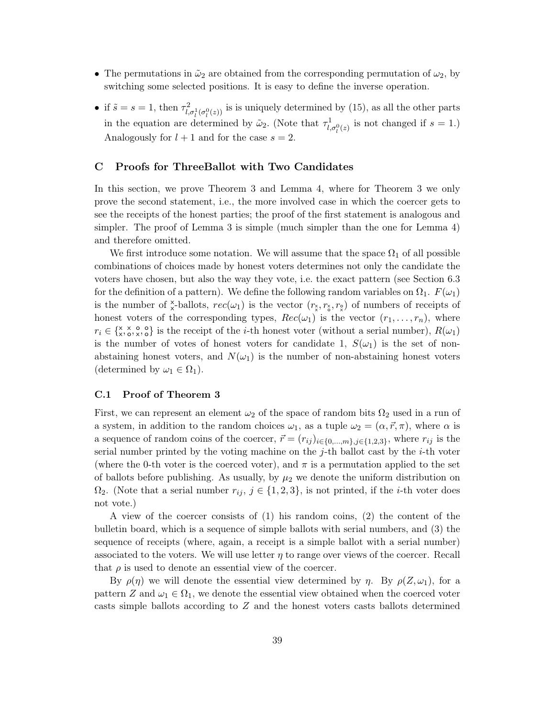- The permutations in  $\tilde{\omega}_2$  are obtained from the corresponding permutation of  $\omega_2$ , by switching some selected positions. It is easy to define the inverse operation.
- if  $\tilde{s} = s = 1$ , then  $\tau^2_{l, \sigma^1_l(\sigma^0_l(z))}$  is is uniquely determined by (15), as all the other parts in the equation are determined by  $\tilde{\omega}_2$ . (Note that  $\tau^1_{l,\sigma_l^0(z)}$  is not changed if  $s=1$ .) Analogously for  $l + 1$  and for the case  $s = 2$ .

## C Proofs for ThreeBallot with Two Candidates

In this section, we prove Theorem 3 and Lemma 4, where for Theorem 3 we only prove the second statement, i.e., the more involved case in which the coercer gets to see the receipts of the honest parties; the proof of the first statement is analogous and simpler. The proof of Lemma 3 is simple (much simpler than the one for Lemma 4) and therefore omitted.

We first introduce some notation. We will assume that the space  $\Omega_1$  of all possible combinations of choices made by honest voters determines not only the candidate the voters have chosen, but also the way they vote, i.e. the exact pattern (see Section 6.3 for the definition of a pattern). We define the following random variables on  $\Omega_1$ .  $F(\omega_1)$ is the number of  $\frac{x}{x}$ -ballots,  $rec(\omega_1)$  is the vector  $(r_{\frac{x}{x}}, r_{\frac{z}{x}})$  of numbers of receipts of honest voters of the corresponding types,  $Rec(\omega_1)$  is the vector  $(r_1, \ldots, r_n)$ , where  $r_i \in \{\mathbf{x}, \mathbf{x}, \mathbf{0}, \mathbf{0}\}\$ is the receipt of the *i*-th honest voter (without a serial number),  $R(\omega_1)$ is the number of votes of honest voters for candidate 1,  $S(\omega_1)$  is the set of nonabstaining honest voters, and  $N(\omega_1)$  is the number of non-abstaining honest voters (determined by  $\omega_1 \in \Omega_1$ ).

## C.1 Proof of Theorem 3

First, we can represent an element  $\omega_2$  of the space of random bits  $\Omega_2$  used in a run of a system, in addition to the random choices  $\omega_1$ , as a tuple  $\omega_2 = (\alpha, \vec{r}, \pi)$ , where  $\alpha$  is a sequence of random coins of the coercer,  $\vec{r} = (r_{ij})_{i \in \{0,\dots,m\}, j \in \{1,2,3\}}$ , where  $r_{ij}$  is the serial number printed by the voting machine on the  $j$ -th ballot cast by the  $i$ -th voter (where the 0-th voter is the coerced voter), and  $\pi$  is a permutation applied to the set of ballots before publishing. As usually, by  $\mu_2$  we denote the uniform distribution on  $\Omega_2$ . (Note that a serial number  $r_{ij}$ ,  $j \in \{1, 2, 3\}$ , is not printed, if the *i*-th voter does not vote.)

A view of the coercer consists of (1) his random coins, (2) the content of the bulletin board, which is a sequence of simple ballots with serial numbers, and (3) the sequence of receipts (where, again, a receipt is a simple ballot with a serial number) associated to the voters. We will use letter  $\eta$  to range over views of the coercer. Recall that  $\rho$  is used to denote an essential view of the coercer.

By  $\rho(\eta)$  we will denote the essential view determined by  $\eta$ . By  $\rho(Z,\omega_1)$ , for a pattern Z and  $\omega_1 \in \Omega_1$ , we denote the essential view obtained when the coerced voter casts simple ballots according to Z and the honest voters casts ballots determined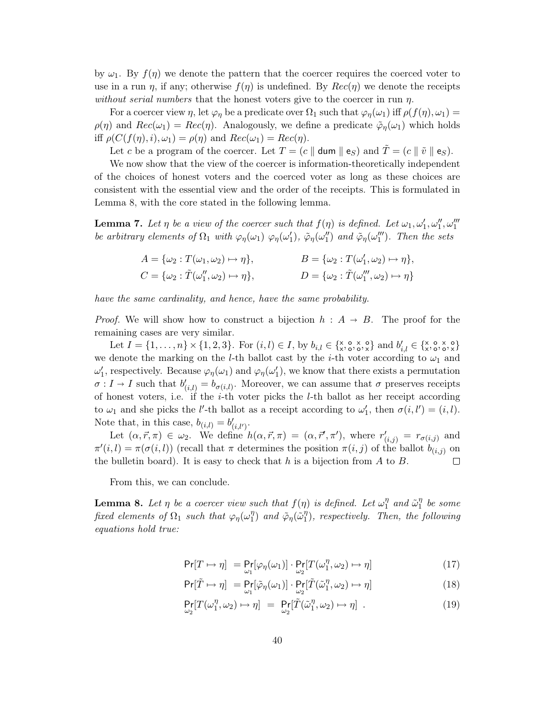by  $\omega_1$ . By  $f(\eta)$  we denote the pattern that the coercer requires the coerced voter to use in a run  $\eta$ , if any; otherwise  $f(\eta)$  is undefined. By  $Rec(\eta)$  we denote the receipts without serial numbers that the honest voters give to the coercer in run  $\eta$ .

For a coercer view  $\eta$ , let  $\varphi_n$  be a predicate over  $\Omega_1$  such that  $\varphi_n(\omega_1)$  iff  $\rho(f(\eta), \omega_1)$  =  $\rho(\eta)$  and  $Rec(\omega_1) = Rec(\eta)$ . Analogously, we define a predicate  $\tilde{\varphi}_\eta(\omega_1)$  which holds iff  $\rho(C(f(\eta), i), \omega_1) = \rho(\eta)$  and  $Rec(\omega_1) = Rec(\eta)$ .

Let c be a program of the coercer. Let  $T = (c \parallel \text{dum} \parallel e_S)$  and  $T = (c \parallel \tilde{v} \parallel e_S)$ .

We now show that the view of the coercer is information-theoretically independent of the choices of honest voters and the coerced voter as long as these choices are consistent with the essential view and the order of the receipts. This is formulated in Lemma 8, with the core stated in the following lemma.

**Lemma 7.** Let  $\eta$  be a view of the coercer such that  $f(\eta)$  is defined. Let  $\omega_1, \omega_1', \omega_1''', \omega_1'''$ be arbitrary elements of  $\Omega_1$  with  $\varphi_{\eta}(\omega_1)$   $\varphi_{\eta}(\omega_1')$ ,  $\tilde{\varphi}_{\eta}(\omega_1'')$  and  $\tilde{\varphi}_{\eta}(\omega_1''')$ . Then the sets

$$
A = {\omega_2 : T(\omega_1, \omega_2) \mapsto \eta},
$$
  
\n
$$
B = {\omega_2 : T(\omega'_1, \omega_2) \mapsto \eta},
$$
  
\n
$$
D = {\omega_2 : \tilde{T}(\omega''_1, \omega_2) \mapsto \eta}
$$

have the same cardinality, and hence, have the same probability.

*Proof.* We will show how to construct a bijection  $h : A \rightarrow B$ . The proof for the remaining cases are very similar.

Let  $I = \{1, ..., n\} \times \{1, 2, 3\}$ . For  $(i, l) \in I$ , by  $b_{i,l} \in \{x, \circ, \circ, \circ\}$  and  $b'_{i,l} \in \{x, \circ, \circ, \circ\}$ we denote the marking on the *l*-th ballot cast by the *i*-th voter according to  $\omega_1$  and  $\omega'_1$ , respectively. Because  $\varphi_\eta(\omega_1)$  and  $\varphi_\eta(\omega'_1)$ , we know that there exists a permutation  $\sigma: I \to I$  such that  $b'_{(i,l)} = b_{\sigma(i,l)}$ . Moreover, we can assume that  $\sigma$  preserves receipts of honest voters, i.e. if the  $i$ -th voter picks the  $l$ -th ballot as her receipt according to  $\omega_1$  and she picks the *l'*-th ballot as a receipt according to  $\omega'_1$ , then  $\sigma(i, l') = (i, l)$ . Note that, in this case,  $b_{(i,l)} = b'_{(i,l')}$ .

Let  $(\alpha, \vec{r}, \pi) \in \omega_2$ . We define  $h(\alpha, \vec{r}, \pi) = (\alpha, \vec{r}', \pi')$ , where  $r'_{(i,j)} = r_{\sigma(i,j)}$  and  $\pi'(i,l) = \pi(\sigma(i,l))$  (recall that  $\pi$  determines the position  $\pi(i,j)$  of the ballot  $b_{(i,j)}$  on the bulletin board). It is easy to check that h is a bijection from  $A$  to  $B$ .  $\Box$ 

From this, we can conclude.

**Lemma 8.** Let  $\eta$  be a coercer view such that  $f(\eta)$  is defined. Let  $\omega_1^{\eta}$  $\int_1^{\eta}$  and  $\tilde{\omega}_1^{\eta}$  $\frac{\eta}{1}$  be some fixed elements of  $\Omega_1$  such that  $\varphi_{\eta}(\omega_1^{\eta})$  $_{1}^{\eta}$ ) and  $\tilde{\varphi}_{\eta}(\tilde{\omega}_{1}^{\eta})$  $\binom{\eta}{1}$ , respectively. Then, the following equations hold true:

$$
\Pr[T \mapsto \eta] = \Pr_{\omega_1}[\varphi_\eta(\omega_1)] \cdot \Pr_{\omega_2}[T(\omega_1^\eta, \omega_2) \mapsto \eta] \tag{17}
$$

$$
\Pr[\tilde{T} \mapsto \eta] = \Pr_{\omega_1}[\tilde{\varphi}_{\eta}(\omega_1)] \cdot \Pr_{\omega_2}[\tilde{T}(\tilde{\omega}_1^{\eta}, \omega_2) \mapsto \eta] \tag{18}
$$

$$
\Pr_{\omega_2}[T(\omega_1^{\eta}, \omega_2) \mapsto \eta] = \Pr_{\omega_2}[\tilde{T}(\tilde{\omega}_1^{\eta}, \omega_2) \mapsto \eta] . \tag{19}
$$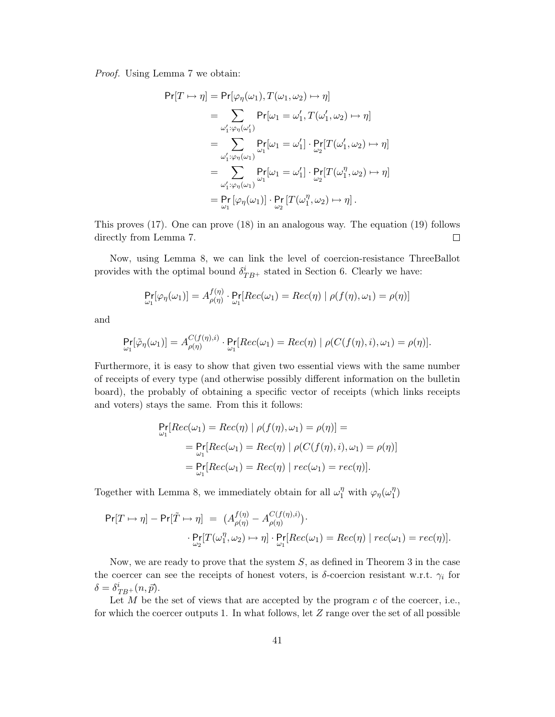Proof. Using Lemma 7 we obtain:

$$
Pr[T \mapsto \eta] = Pr[\varphi_{\eta}(\omega_1), T(\omega_1, \omega_2) \mapsto \eta]
$$
  
\n
$$
= \sum_{\omega'_1 : \varphi_{\eta}(\omega'_1)} Pr[\omega_1 = \omega'_1, T(\omega'_1, \omega_2) \mapsto \eta]
$$
  
\n
$$
= \sum_{\omega'_1 : \varphi_{\eta}(\omega_1)} Pr[\omega_1 = \omega'_1] \cdot Pr[T(\omega'_1, \omega_2) \mapsto \eta]
$$
  
\n
$$
= \sum_{\omega'_1 : \varphi_{\eta}(\omega_1)} Pr[\omega_1 = \omega'_1] \cdot Pr[T(\omega''_1, \omega_2) \mapsto \eta]
$$
  
\n
$$
= Pr[\varphi_{\eta}(\omega_1)] \cdot Pr[T(\omega''_1, \omega_2) \mapsto \eta].
$$

This proves (17). One can prove (18) in an analogous way. The equation (19) follows directly from Lemma 7.  $\Box$ 

Now, using Lemma 8, we can link the level of coercion-resistance ThreeBallot provides with the optimal bound  $\delta_{TB^+}^i$  stated in Section 6. Clearly we have:

$$
\Pr_{\omega_1}[\varphi_{\eta}(\omega_1)] = A_{\rho(\eta)}^{f(\eta)} \cdot \Pr_{\omega_1}[Rec(\omega_1) = Rec(\eta) | \rho(f(\eta), \omega_1) = \rho(\eta)]
$$

and

$$
\Pr_{\omega_1}[\tilde{\varphi}_{\eta}(\omega_1)] = A_{\rho(\eta)}^{C(f(\eta),i)} \cdot \Pr_{\omega_1}[Rec(\omega_1) = Rec(\eta) | \rho(C(f(\eta),i), \omega_1) = \rho(\eta)].
$$

Furthermore, it is easy to show that given two essential views with the same number of receipts of every type (and otherwise possibly different information on the bulletin board), the probably of obtaining a specific vector of receipts (which links receipts and voters) stays the same. From this it follows:

$$
\Pr_{\omega_1}[Rec(\omega_1) = Rec(\eta) | \rho(f(\eta), \omega_1) = \rho(\eta)] =
$$
  
= 
$$
\Pr_{\omega_1}[Rec(\omega_1) = Rec(\eta) | \rho(C(f(\eta), i), \omega_1) = \rho(\eta)]
$$
  
= 
$$
\Pr_{\omega_1}[Rec(\omega_1) = Rec(\eta) | rec(\omega_1) = rec(\eta)].
$$

Together with Lemma 8, we immediately obtain for all  $\omega_1^{\eta}$  with  $\varphi_{\eta}(\omega_1^{\eta})$  $\binom{\eta}{1}$ 

$$
Pr[T \mapsto \eta] - Pr[\tilde{T} \mapsto \eta] = (A_{\rho(\eta)}^{f(\eta)} - A_{\rho(\eta)}^{C(f(\eta),i)}).
$$

$$
\cdot Pr[T(\omega_1^{\eta}, \omega_2) \mapsto \eta] \cdot Pr[Rec(\omega_1) = Rec(\eta) | rec(\omega_1) = rec(\eta)].
$$

Now, we are ready to prove that the system  $S$ , as defined in Theorem 3 in the case the coercer can see the receipts of honest voters, is  $\delta$ -coercion resistant w.r.t.  $\gamma_i$  for  $\delta = \delta^i_{TB^+}(n, \vec{p}).$ 

Let  $M$  be the set of views that are accepted by the program  $c$  of the coercer, i.e., for which the coercer outputs 1. In what follows, let  $Z$  range over the set of all possible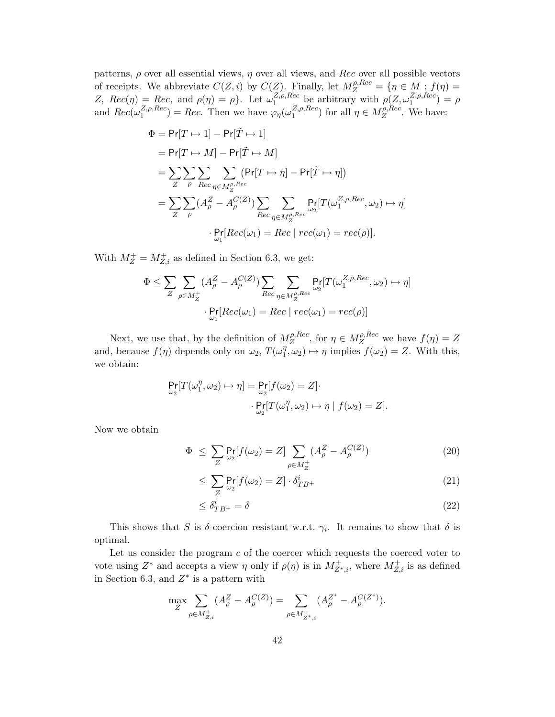patterns,  $\rho$  over all essential views,  $\eta$  over all views, and Rec over all possible vectors of receipts. We abbreviate  $C(Z, i)$  by  $C(Z)$ . Finally, let  $M_Z^{\rho, Rec} = \{ \eta \in M : f(\eta) =$ Z,  $Rec(\eta) = Rec$ , and  $\rho(\eta) = \rho$ . Let  $\omega_1^{Z,\rho,Rec}$  be arbitrary with  $\rho(Z, \omega_1^{Z,\rho,Rec}) = \rho$ and  $Rec(\omega_1^{Z,\rho,Rec})$  $\mathcal{L}_{1}^{Z,\rho,Rec}$ ) = Rec. Then we have  $\varphi_{\eta}(\omega_{1}^{Z,\rho,Rec})$  $_{1}^{Z,\rho,Rec}$  for all  $\eta \in M_Z^{\rho,Rec}$  $Z^{p,Rec}$ . We have:

$$
\Phi = \Pr[T \mapsto 1] - \Pr[\tilde{T} \mapsto 1]
$$
  
=  $\Pr[T \mapsto M] - \Pr[\tilde{T} \mapsto M]$   
=  $\sum_{Z} \sum_{\rho} \sum_{Rec} \sum_{\eta \in M_Z^{\rho, Rec}} (\Pr[T \mapsto \eta] - \Pr[\tilde{T} \mapsto \eta])$   
=  $\sum_{Z} \sum_{\rho} (A_{\rho}^Z - A_{\rho}^{C(Z)}) \sum_{Rec} \sum_{\omega_2} \Pr[T(\omega_1^{Z, \rho, Rec}, \omega_2) \mapsto \eta]$   
 $\cdot \Pr[Rec(\omega_1) = Rec \mid rec(\omega_1) = rec(\rho)].$ 

With  $M_Z^+ = M_{Z,i}^+$  as defined in Section 6.3, we get:

$$
\Phi \leq \sum_{Z} \sum_{\rho \in M_Z^+} (A_\rho^Z - A_\rho^{C(Z)}) \sum_{Rec} \sum_{\eta \in M_Z^{\rho, Rec}} \Pr_{\omega_2} [T(\omega_1^{Z,\rho, Rec}, \omega_2) \mapsto \eta]
$$

$$
\cdot \Pr_{\omega_1} [Rec(\omega_1) = Rec \mid rec(\omega_1) = rec(\rho)]
$$

Next, we use that, by the definition of  $M_Z^{\rho, Rec}$  $Z_Z^{\rho, Rec}$ , for  $\eta \in M_Z^{\rho, Rec}$  we have  $f(\eta) = Z$ and, because  $f(\eta)$  depends only on  $\omega_2$ ,  $T(\omega_1^{\eta})$  $j_1^n, \omega_2$   $\mapsto$   $\eta$  implies  $f(\omega_2) = Z$ . With this, we obtain:

$$
\Pr_{\omega_2}[T(\omega_1^{\eta}, \omega_2) \mapsto \eta] = \Pr_{\omega_2}[f(\omega_2) = Z] \cdot \cdot \cdot \Pr_{\omega_2}[T(\omega_1^{\eta}, \omega_2) \mapsto \eta \mid f(\omega_2) = Z].
$$

Now we obtain

$$
\Phi \leq \sum_{Z} \Pr_{\omega_2} [f(\omega_2) = Z] \sum_{\rho \in M_Z^+} (A_\rho^Z - A_\rho^{C(Z)}) \tag{20}
$$

$$
\leq \sum_{Z} \Pr_{\omega_2} [f(\omega_2) = Z] \cdot \delta_{TB+}^i \tag{21}
$$

$$
\leq \delta_{TB^+}^i = \delta \tag{22}
$$

This shows that S is  $\delta$ -coercion resistant w.r.t.  $\gamma_i$ . It remains to show that  $\delta$  is optimal.

Let us consider the program  $c$  of the coercer which requests the coerced voter to vote using  $Z^*$  and accepts a view  $\eta$  only if  $\rho(\eta)$  is in  $M^+_{Z^*,i}$ , where  $M^+_{Z,i}$  is as defined in Section 6.3, and  $Z^*$  is a pattern with

$$
\max_{Z} \sum_{\rho \in M_{Z,i}^+} (A_{\rho}^Z - A_{\rho}^{C(Z)}) = \sum_{\rho \in M_{Z^*,i}^+} (A_{\rho}^{Z^*} - A_{\rho}^{C(Z^*)}).
$$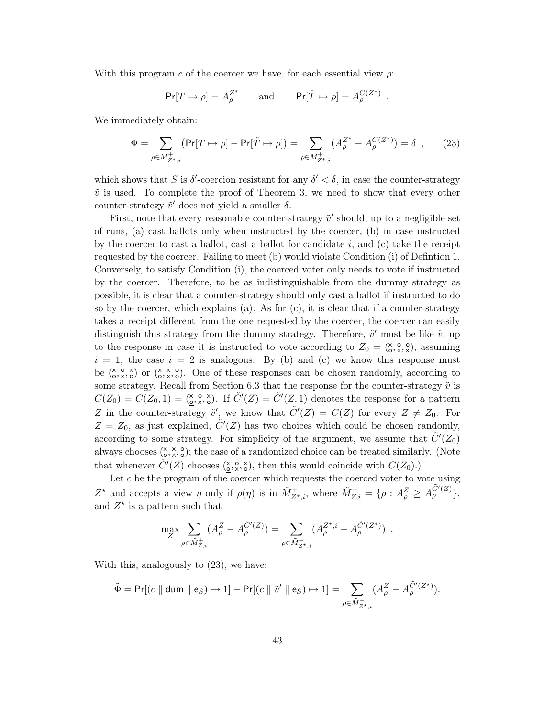With this program c of the coercer we have, for each essential view  $\rho$ :

$$
\Pr[T \mapsto \rho] = A_{\rho}^{Z^*} \quad \text{and} \quad \Pr[\tilde{T} \mapsto \rho] = A_{\rho}^{C(Z^*)} .
$$

We immediately obtain:

$$
\Phi = \sum_{\rho \in M_{Z^*,i}^+} (\Pr[T \mapsto \rho] - \Pr[\tilde{T} \mapsto \rho]) = \sum_{\rho \in M_{Z^*,i}^+} (A_{\rho}^{Z^*} - A_{\rho}^{C(Z^*)}) = \delta \quad , \tag{23}
$$

which shows that S is  $\delta'$ -coercion resistant for any  $\delta' < \delta$ , in case the counter-strategy  $\tilde{v}$  is used. To complete the proof of Theorem 3, we need to show that every other counter-strategy  $\tilde{v}'$  does not yield a smaller  $\delta$ .

First, note that every reasonable counter-strategy  $\tilde{v}'$  should, up to a negligible set of runs, (a) cast ballots only when instructed by the coercer, (b) in case instructed by the coercer to cast a ballot, cast a ballot for candidate  $i$ , and  $(c)$  take the receipt requested by the coercer. Failing to meet (b) would violate Condition (i) of Defintion 1. Conversely, to satisfy Condition (i), the coerced voter only needs to vote if instructed by the coercer. Therefore, to be as indistinguishable from the dummy strategy as possible, it is clear that a counter-strategy should only cast a ballot if instructed to do so by the coercer, which explains (a). As for (c), it is clear that if a counter-strategy takes a receipt different from the one requested by the coercer, the coercer can easily distinguish this strategy from the dummy strategy. Therefore,  $\tilde{v}'$  must be like  $\tilde{v}$ , up to the response in case it is instructed to vote according to  $Z_0 = (\underline{\xi}, \xi, \xi)$ , assuming  $i = 1$ ; the case  $i = 2$  is analogous. By (b) and (c) we know this response must be  $(\underline{\zeta}, \underline{\zeta}, \underline{\zeta})$  or  $(\underline{\zeta}, \underline{\zeta}, \underline{\zeta})$ . One of these responses can be chosen randomly, according to some strategy. Recall from Section 6.3 that the response for the counter-strategy  $\tilde{v}$  is  $C(Z_0) = C(Z_0, 1) = (\underline{\xi}, \underline{\zeta}, \underline{\zeta})$ . If  $\tilde{C}'(Z) = \tilde{C}'(Z, 1)$  denotes the response for a pattern Z in the counter-strategy  $\tilde{v}'$ , we know that  $\tilde{C}'(Z) = C(Z)$  for every  $Z \neq Z_0$ . For  $Z = Z_0$ , as just explained,  $\tilde{C}'(Z)$  has two choices which could be chosen randomly, according to some strategy. For simplicity of the argument, we assume that  $\tilde{C}'(Z_0)$ always chooses  $(\underline{\zeta}, \underline{x}, \underline{o})$ ; the case of a randomized choice can be treated similarly. (Note that whenever  $\tilde{C}'(Z)$  chooses  $(\zeta, \zeta, \zeta)$ , then this would coincide with  $C(Z_0)$ .)

Let  $c$  be the program of the coercer which requests the coerced voter to vote using  $Z^*$  and accepts a view  $\eta$  only if  $\rho(\eta)$  is in  $\tilde{M}^+_{Z^*,i}$ , where  $\tilde{M}^+_{Z,i} = \{\rho : A_\rho^Z \geq A_\rho^{\tilde{C}'(Z)}\},$ and  $Z^*$  is a pattern such that

$$
\max_{Z} \sum_{\rho \in \tilde{M}_{Z,i}^+} (A_{\rho}^Z - A_{\rho}^{\tilde{C}'(Z)}) = \sum_{\rho \in \tilde{M}_{Z^{\star},i}^+} (A_{\rho}^{Z^{\star},i} - A_{\rho}^{\tilde{C}'(Z^{\star})}) .
$$

With this, analogously to (23), we have:

$$
\tilde{\Phi} = \Pr[(c \parallel \text{dum} \parallel e_S) \mapsto 1] - \Pr[(c \parallel \tilde{v}' \parallel e_S) \mapsto 1] = \sum_{\rho \in \tilde{M}_{Z^{\star},i}^+} (A_{\rho}^Z - A_{\rho}^{\tilde{C}'(Z^{\star})}).
$$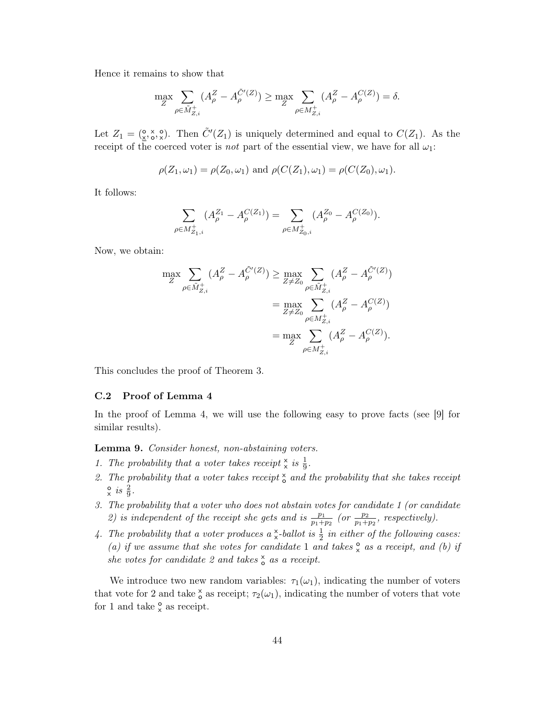Hence it remains to show that

$$
\max_{Z} \sum_{\rho \in \tilde{M}_{Z,i}^+} (A_{\rho}^Z - A_{\rho}^{\tilde{C}'(Z)}) \ge \max_{Z} \sum_{\rho \in M_{Z,i}^+} (A_{\rho}^Z - A_{\rho}^{C(Z)}) = \delta.
$$

Let  $Z_1 = (\mathcal{O}, \mathcal{O}, \mathcal{O})$ . Then  $\tilde{C}'(Z_1)$  is uniquely determined and equal to  $C(Z_1)$ . As the receipt of the coerced voter is not part of the essential view, we have for all  $\omega_1$ :

$$
\rho(Z_1, \omega_1) = \rho(Z_0, \omega_1)
$$
 and  $\rho(C(Z_1), \omega_1) = \rho(C(Z_0), \omega_1)$ .

It follows:

$$
\sum_{\rho \in M_{Z_1,i}^+} (A_{\rho}^{Z_1} - A_{\rho}^{C(Z_1)}) = \sum_{\rho \in M_{Z_0,i}^+} (A_{\rho}^{Z_0} - A_{\rho}^{C(Z_0)}).
$$

Now, we obtain:

$$
\max_{Z} \sum_{\rho \in \tilde{M}_{Z,i}^{+}} (A_{\rho}^{Z} - A_{\rho}^{\tilde{C}'(Z)}) \ge \max_{Z \neq Z_{0}} \sum_{\rho \in \tilde{M}_{Z,i}^{+}} (A_{\rho}^{Z} - A_{\rho}^{\tilde{C}'(Z)})
$$
\n
$$
= \max_{Z \neq Z_{0}} \sum_{\rho \in M_{Z,i}^{+}} (A_{\rho}^{Z} - A_{\rho}^{C(Z)})
$$
\n
$$
= \max_{Z} \sum_{\rho \in M_{Z,i}^{+}} (A_{\rho}^{Z} - A_{\rho}^{C(Z)}).
$$

This concludes the proof of Theorem 3.

#### C.2 Proof of Lemma 4

In the proof of Lemma 4, we will use the following easy to prove facts (see [9] for similar results).

Lemma 9. Consider honest, non-abstaining voters.

- 1. The probability that a voter takes receipt  $\frac{\mathsf{x}}{\mathsf{x}}$  is  $\frac{1}{9}$ .
- 2. The probability that a voter takes receipt  $\frac{x}{\circ}$  and the probability that she takes receipt  $\frac{6}{x}$  is  $\frac{2}{9}$ .
- 3. The probability that a voter who does not abstain votes for candidate 1 (or candidate 2) is independent of the receipt she gets and is  $\frac{p_1}{p_1+p_2}$  (or  $\frac{p_2}{p_1+p_2}$ , respectively).
- 4. The probability that a voter produces a  $\frac{x}{x}$ -ballot is  $\frac{1}{2}$  in either of the following cases: (a) if we assume that she votes for candidate 1 and takes  $\frac{6}{x}$  as a receipt, and (b) if she votes for candidate 2 and takes  $\frac{\mathsf{x}}{\mathsf{o}}$  as a receipt.

We introduce two new random variables:  $\tau_1(\omega_1)$ , indicating the number of voters that vote for 2 and take  $\frac{x}{\alpha}$  as receipt;  $\tau_2(\omega_1)$ , indicating the number of voters that vote for 1 and take  $\frac{6}{x}$  as receipt.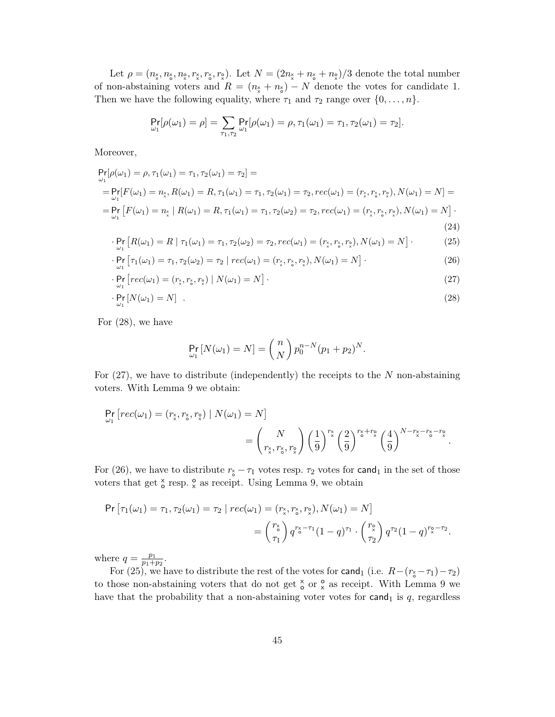Let  $\rho = (n_x, n_\xi, n_\xi, r_x, r_\xi, r_\xi)$ . Let  $N = (2n_x + n_\xi + n_\xi)/3$  denote the total number of non-abstaining voters and  $R = (n_{\tilde{x}} + n_{\tilde{g}}) - N$  denote the votes for candidate 1. Then we have the following equality, where  $\tau_1$  and  $\tau_2$  range over  $\{0, \ldots, n\}$ .

$$
\Pr_{\omega_1}[\rho(\omega_1) = \rho] = \sum_{\tau_1, \tau_2} \Pr_{\omega_1}[\rho(\omega_1) = \rho, \tau_1(\omega_1) = \tau_1, \tau_2(\omega_1) = \tau_2].
$$

Moreover,

$$
\Pr_{\omega_1}[\rho(\omega_1) = \rho, \tau_1(\omega_1) = \tau_1, \tau_2(\omega_1) = \tau_2] =
$$
\n
$$
= \Pr_{\omega_1}[F(\omega_1) = n_x, R(\omega_1) = R, \tau_1(\omega_1) = \tau_1, \tau_2(\omega_1) = \tau_2, rec(\omega_1) = (r_x, r_x, r_y), N(\omega_1) = N] =
$$
\n
$$
= \Pr_{\omega_1}[F(\omega_1) = n_x \mid R(\omega_1) = R, \tau_1(\omega_1) = \tau_1, \tau_2(\omega_2) = \tau_2, rec(\omega_1) = (r_x, r_x, r_y), N(\omega_1) = N].
$$
\n(24)

$$
\Pr_{\omega_1} \left[ R(\omega_1) = R \mid \tau_1(\omega_1) = \tau_1, \tau_2(\omega_2) = \tau_2, rec(\omega_1) = (r_{\tilde{x}}, r_{\tilde{y}}, r_{\tilde{y}}), N(\omega_1) = N \right].
$$
 (25)

$$
\cdot \Pr_{\omega_1} [\tau_1(\omega_1) = \tau_1, \tau_2(\omega_2) = \tau_2 \mid rec(\omega_1) = (r_{\tilde{x}}, r_{\tilde{y}}, r_{\tilde{y}}), N(\omega_1) = N].
$$
 (26)

$$
\cdot \Pr_{\omega_1} \left[ rec(\omega_1) = (r_{\tilde{x}}, r_{\tilde{s}}, r_{\tilde{x}}) \mid N(\omega_1) = N \right]. \tag{27}
$$

$$
\Pr_{\omega_1} \left[ N(\omega_1) = N \right] \tag{28}
$$

For (28), we have

$$
\Pr_{\omega_1} [N(\omega_1) = N] = {n \choose N} p_0^{n-N} (p_1 + p_2)^N.
$$

For  $(27)$ , we have to distribute (independently) the receipts to the N non-abstaining voters. With Lemma 9 we obtain:

$$
\Pr_{\omega_1} \left[ rec(\omega_1) = (r_{\tilde{\chi}}, r_{\tilde{\varphi}}, r_{\tilde{\chi}}) \mid N(\omega_1) = N \right]
$$
  
= 
$$
\binom{N}{r_{\tilde{\chi}}, r_{\tilde{\chi}}, r_{\tilde{\chi}}} \left( \frac{1}{9} \right)^{r_{\tilde{\chi}}} \left( \frac{2}{9} \right)^{r_{\tilde{\chi}} + r_{\tilde{\nu}}} \left( \frac{4}{9} \right)^{N - r_{\tilde{\chi}} - r_{\tilde{\nu}} - r_{\tilde{\chi}}}
$$

For (26), we have to distribute  $r_{\xi} - \tau_1$  votes resp.  $\tau_2$  votes for cand<sub>1</sub> in the set of those voters that get  $\frac{x}{\circ}$  resp.  $\frac{0}{x}$  as receipt. Using Lemma 9, we obtain

$$
\Pr\left[\tau_1(\omega_1) = \tau_1, \tau_2(\omega_1) = \tau_2 \mid rec(\omega_1) = (r_{\tilde{x}}, r_{\tilde{y}}, r_{\tilde{y}}), N(\omega_1) = N\right]
$$

$$
= \binom{r_{\tilde{b}}}{\tau_1} q^{r_{\tilde{b}} - \tau_1} (1 - q)^{\tau_1} \cdot \binom{r_{\tilde{y}}}{\tau_2} q^{\tau_2} (1 - q)^{r_{\tilde{y}} - \tau_2}.
$$

where  $q = \frac{p_1}{p_1 + p_2}$  $\frac{p_1}{p_1+p_2}$  .

For (25), we have to distribute the rest of the votes for cand<sub>1</sub> (i.e.  $R - (r_5 - \tau_1) - \tau_2$ ) to those non-abstaining voters that do not get  $\frac{x}{0}$  or  $\frac{0}{x}$  as receipt. With Lemma 9 we have that the probability that a non-abstaining voter votes for  $cand_1$  is  $q$ , regardless